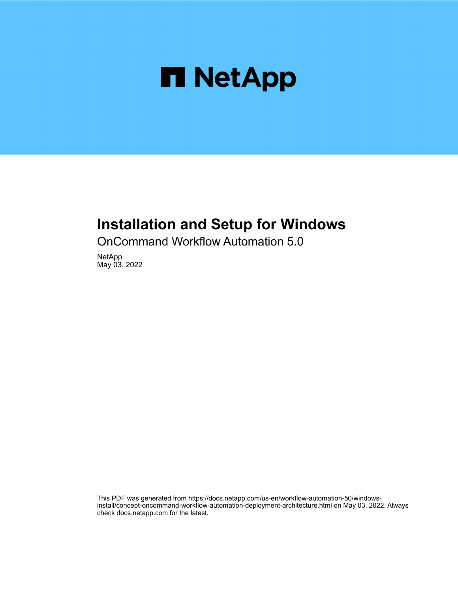

# **Installation and Setup for Windows**

OnCommand Workflow Automation 5.0

NetApp May 03, 2022

This PDF was generated from https://docs.netapp.com/us-en/workflow-automation-50/windowsinstall/concept-oncommand-workflow-automation-deployment-architecture.html on May 03, 2022. Always check docs.netapp.com for the latest.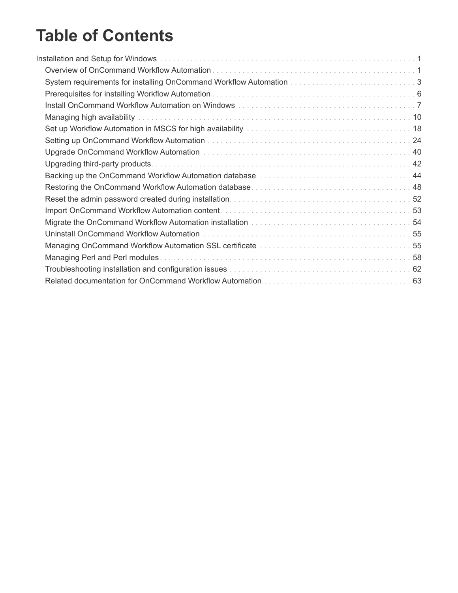# **Table of Contents**

| Backing up the OnCommand Workflow Automation database manufactured contained and 44     |  |
|-----------------------------------------------------------------------------------------|--|
|                                                                                         |  |
|                                                                                         |  |
|                                                                                         |  |
|                                                                                         |  |
|                                                                                         |  |
| Managing OnCommand Workflow Automation SSL certificate manufacture in the content of 55 |  |
|                                                                                         |  |
|                                                                                         |  |
|                                                                                         |  |
|                                                                                         |  |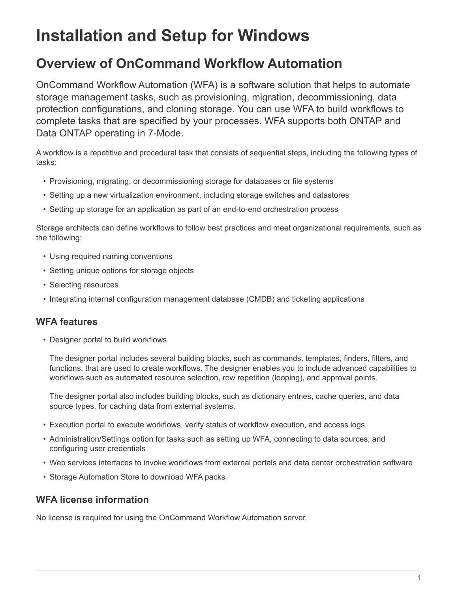# <span id="page-2-0"></span>**Installation and Setup for Windows**

# <span id="page-2-1"></span>**Overview of OnCommand Workflow Automation**

OnCommand Workflow Automation (WFA) is a software solution that helps to automate storage management tasks, such as provisioning, migration, decommissioning, data protection configurations, and cloning storage. You can use WFA to build workflows to complete tasks that are specified by your processes. WFA supports both ONTAP and Data ONTAP operating in 7-Mode.

A workflow is a repetitive and procedural task that consists of sequential steps, including the following types of tasks:

- Provisioning, migrating, or decommissioning storage for databases or file systems
- Setting up a new virtualization environment, including storage switches and datastores
- Setting up storage for an application as part of an end-to-end orchestration process

Storage architects can define workflows to follow best practices and meet organizational requirements, such as the following:

- Using required naming conventions
- Setting unique options for storage objects
- Selecting resources
- Integrating internal configuration management database (CMDB) and ticketing applications

# **WFA features**

• Designer portal to build workflows

The designer portal includes several building blocks, such as commands, templates, finders, filters, and functions, that are used to create workflows. The designer enables you to include advanced capabilities to workflows such as automated resource selection, row repetition (looping), and approval points.

The designer portal also includes building blocks, such as dictionary entries, cache queries, and data source types, for caching data from external systems.

- Execution portal to execute workflows, verify status of workflow execution, and access logs
- Administration/Settings option for tasks such as setting up WFA, connecting to data sources, and configuring user credentials
- Web services interfaces to invoke workflows from external portals and data center orchestration software
- Storage Automation Store to download WFA packs

# **WFA license information**

No license is required for using the OnCommand Workflow Automation server.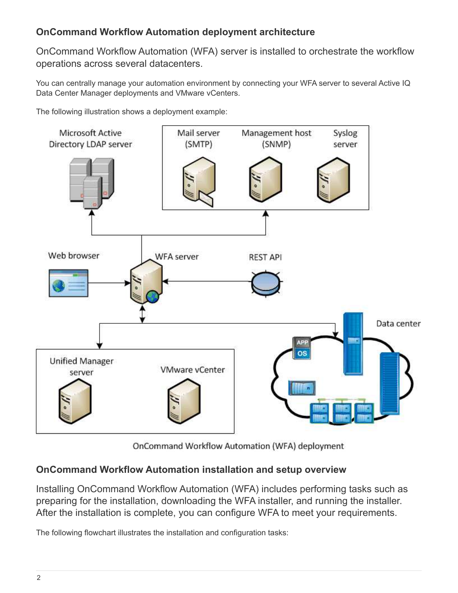# **OnCommand Workflow Automation deployment architecture**

OnCommand Workflow Automation (WFA) server is installed to orchestrate the workflow operations across several datacenters.

You can centrally manage your automation environment by connecting your WFA server to several Active IQ Data Center Manager deployments and VMware vCenters.

The following illustration shows a deployment example:



OnCommand Workflow Automation (WFA) deployment

# **OnCommand Workflow Automation installation and setup overview**

Installing OnCommand Workflow Automation (WFA) includes performing tasks such as preparing for the installation, downloading the WFA installer, and running the installer. After the installation is complete, you can configure WFA to meet your requirements.

The following flowchart illustrates the installation and configuration tasks: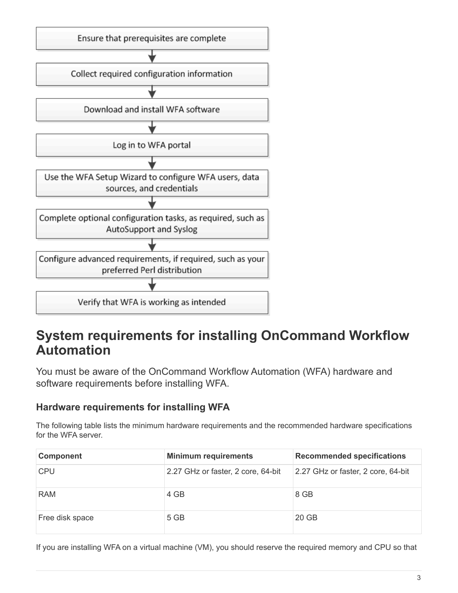

# <span id="page-4-0"></span>**System requirements for installing OnCommand Workflow Automation**

You must be aware of the OnCommand Workflow Automation (WFA) hardware and software requirements before installing WFA.

# **Hardware requirements for installing WFA**

The following table lists the minimum hardware requirements and the recommended hardware specifications for the WFA server.

| <b>Component</b> | <b>Minimum requirements</b>        | <b>Recommended specifications</b>  |
|------------------|------------------------------------|------------------------------------|
| <b>CPU</b>       | 2.27 GHz or faster, 2 core, 64-bit | 2.27 GHz or faster, 2 core, 64-bit |
| <b>RAM</b>       | 4 GB                               | 8 GB                               |
| Free disk space  | 5 GB                               | 20 GB                              |

If you are installing WFA on a virtual machine (VM), you should reserve the required memory and CPU so that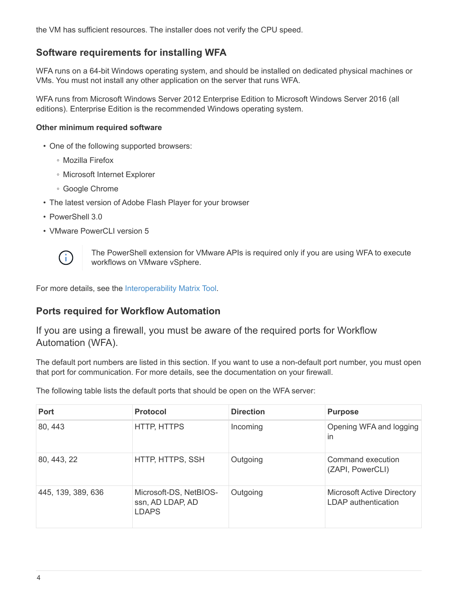the VM has sufficient resources. The installer does not verify the CPU speed.

# **Software requirements for installing WFA**

WFA runs on a 64-bit Windows operating system, and should be installed on dedicated physical machines or VMs. You must not install any other application on the server that runs WFA.

WFA runs from Microsoft Windows Server 2012 Enterprise Edition to Microsoft Windows Server 2016 (all editions). Enterprise Edition is the recommended Windows operating system.

#### **Other minimum required software**

- One of the following supported browsers:
	- Mozilla Firefox
	- Microsoft Internet Explorer
	- Google Chrome
- The latest version of Adobe Flash Player for your browser
- PowerShell 3.0
- VMware PowerCLI version 5



The PowerShell extension for VMware APIs is required only if you are using WFA to execute workflows on VMware vSphere.

For more details, see the [Interoperability Matrix Tool](https://mysupport.netapp.com/matrix).

# **Ports required for Workflow Automation**

If you are using a firewall, you must be aware of the required ports for Workflow Automation (WFA).

The default port numbers are listed in this section. If you want to use a non-default port number, you must open that port for communication. For more details, see the documentation on your firewall.

The following table lists the default ports that should be open on the WFA server:

| <b>Port</b>        | <b>Protocol</b>                                            | <b>Direction</b> | <b>Purpose</b>                                           |
|--------------------|------------------------------------------------------------|------------------|----------------------------------------------------------|
| 80, 443            | HTTP, HTTPS                                                | Incoming         | Opening WFA and logging<br>$\mathsf{In}$                 |
| 80, 443, 22        | HTTP, HTTPS, SSH                                           | Outgoing         | Command execution<br>(ZAPI, PowerCLI)                    |
| 445, 139, 389, 636 | Microsoft-DS, NetBIOS-<br>ssn, AD LDAP, AD<br><b>LDAPS</b> | Outgoing         | <b>Microsoft Active Directory</b><br>LDAP authentication |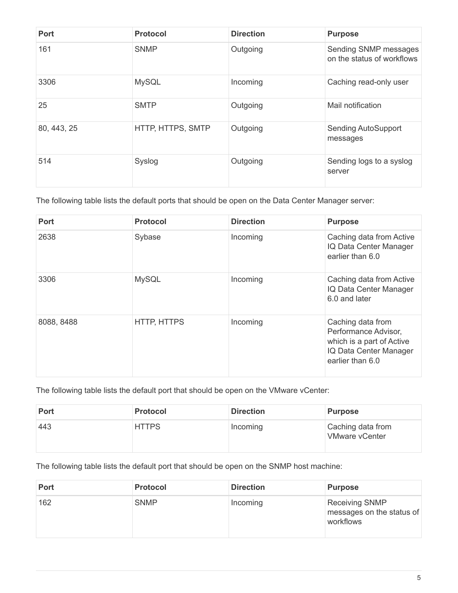| <b>Port</b> | <b>Protocol</b>   | <b>Direction</b> | <b>Purpose</b>                                      |
|-------------|-------------------|------------------|-----------------------------------------------------|
| 161         | <b>SNMP</b>       | Outgoing         | Sending SNMP messages<br>on the status of workflows |
| 3306        | <b>MySQL</b>      | Incoming         | Caching read-only user                              |
| 25          | <b>SMTP</b>       | Outgoing         | Mail notification                                   |
| 80, 443, 25 | HTTP, HTTPS, SMTP | Outgoing         | <b>Sending AutoSupport</b><br>messages              |
| 514         | Syslog            | Outgoing         | Sending logs to a syslog<br>server                  |

The following table lists the default ports that should be open on the Data Center Manager server:

| <b>Port</b> | <b>Protocol</b>    | <b>Direction</b> | <b>Purpose</b>                                                                                                       |
|-------------|--------------------|------------------|----------------------------------------------------------------------------------------------------------------------|
| 2638        | Sybase             | Incoming         | Caching data from Active<br>IQ Data Center Manager<br>earlier than 6.0                                               |
| 3306        | <b>MySQL</b>       | Incoming         | Caching data from Active<br>IQ Data Center Manager<br>6.0 and later                                                  |
| 8088, 8488  | <b>HTTP, HTTPS</b> | Incoming         | Caching data from<br>Performance Advisor,<br>which is a part of Active<br>IQ Data Center Manager<br>earlier than 6.0 |

The following table lists the default port that should be open on the VMware vCenter:

| <b>Port</b> | <b>Protocol</b> | <b>Direction</b> | <b>Purpose</b>                             |
|-------------|-----------------|------------------|--------------------------------------------|
| 443         | <b>HTTPS</b>    | Incoming         | Caching data from<br><b>VMware vCenter</b> |

The following table lists the default port that should be open on the SNMP host machine:

| <b>Port</b> | <b>Protocol</b> | <b>Direction</b> | <b>Purpose</b>                                                  |
|-------------|-----------------|------------------|-----------------------------------------------------------------|
| 162         | <b>SNMP</b>     | Incoming         | <b>Receiving SNMP</b><br>messages on the status of<br>workflows |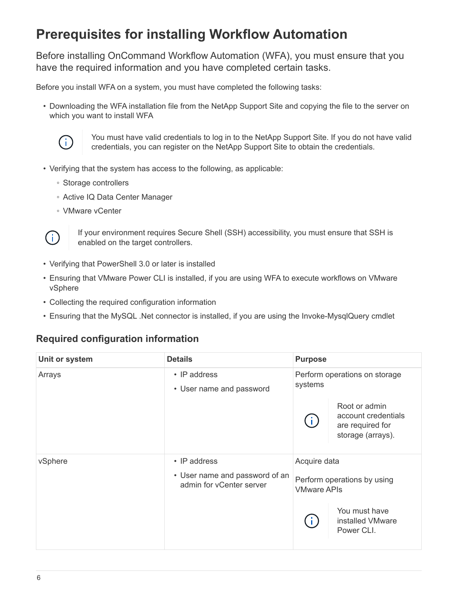# <span id="page-7-0"></span>**Prerequisites for installing Workflow Automation**

Before installing OnCommand Workflow Automation (WFA), you must ensure that you have the required information and you have completed certain tasks.

Before you install WFA on a system, you must have completed the following tasks:

• Downloading the WFA installation file from the NetApp Support Site and copying the file to the server on which you want to install WFA



You must have valid credentials to log in to the NetApp Support Site. If you do not have valid credentials, you can register on the NetApp Support Site to obtain the credentials.

- Verifying that the system has access to the following, as applicable:
	- Storage controllers
	- Active IQ Data Center Manager
	- VMware vCenter



If your environment requires Secure Shell (SSH) accessibility, you must ensure that SSH is enabled on the target controllers.

- Verifying that PowerShell 3.0 or later is installed
- Ensuring that VMware Power CLI is installed, if you are using WFA to execute workflows on VMware vSphere
- Collecting the required configuration information
- Ensuring that the MySQL .Net connector is installed, if you are using the Invoke-MysqlQuery cmdlet

# **Required configuration information**

| Unit or system | <b>Details</b>                                             | <b>Purpose</b>     |                                                                               |  |
|----------------|------------------------------------------------------------|--------------------|-------------------------------------------------------------------------------|--|
| Arrays         | • IP address<br>• User name and password                   | systems            | Perform operations on storage                                                 |  |
|                |                                                            |                    | Root or admin<br>account credentials<br>are required for<br>storage (arrays). |  |
| vSphere        | • IP address                                               | Acquire data       |                                                                               |  |
|                | • User name and password of an<br>admin for vCenter server | <b>VMware APIs</b> | Perform operations by using                                                   |  |
|                |                                                            |                    | You must have<br>installed VMware<br>Power CLI.                               |  |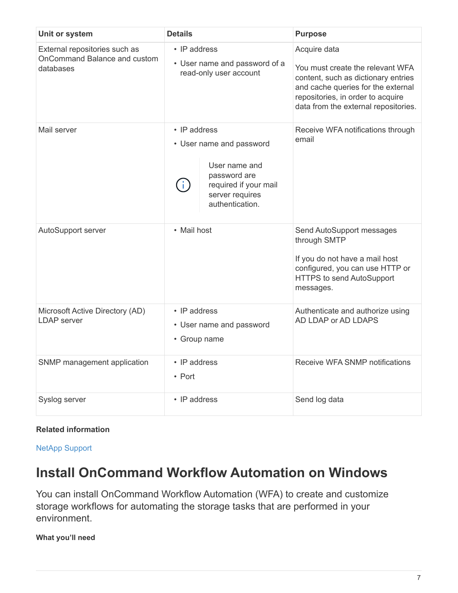| Unit or system                                                             | <b>Details</b>                                                                                                                                 | <b>Purpose</b>                                                                                                                                                                                             |
|----------------------------------------------------------------------------|------------------------------------------------------------------------------------------------------------------------------------------------|------------------------------------------------------------------------------------------------------------------------------------------------------------------------------------------------------------|
| External repositories such as<br>OnCommand Balance and custom<br>databases | • IP address<br>• User name and password of a<br>read-only user account                                                                        | Acquire data<br>You must create the relevant WFA<br>content, such as dictionary entries<br>and cache queries for the external<br>repositories, in order to acquire<br>data from the external repositories. |
| Mail server                                                                | $\cdot$ IP address<br>• User name and password<br>User name and<br>password are<br>required if your mail<br>server requires<br>authentication. | Receive WFA notifications through<br>email                                                                                                                                                                 |
| AutoSupport server                                                         | • Mail host                                                                                                                                    | Send AutoSupport messages<br>through SMTP<br>If you do not have a mail host<br>configured, you can use HTTP or<br>HTTPS to send AutoSupport<br>messages.                                                   |
| Microsoft Active Directory (AD)<br><b>LDAP</b> server                      | • IP address<br>• User name and password<br>• Group name                                                                                       | Authenticate and authorize using<br>AD LDAP or AD LDAPS                                                                                                                                                    |
| SNMP management application                                                | • IP address<br>• Port                                                                                                                         | Receive WFA SNMP notifications                                                                                                                                                                             |
| Syslog server                                                              | • IP address                                                                                                                                   | Send log data                                                                                                                                                                                              |

# **Related information**

[NetApp Support](http://mysupport.netapp.com)

# <span id="page-8-0"></span>**Install OnCommand Workflow Automation on Windows**

You can install OnCommand Workflow Automation (WFA) to create and customize storage workflows for automating the storage tasks that are performed in your environment.

**What you'll need**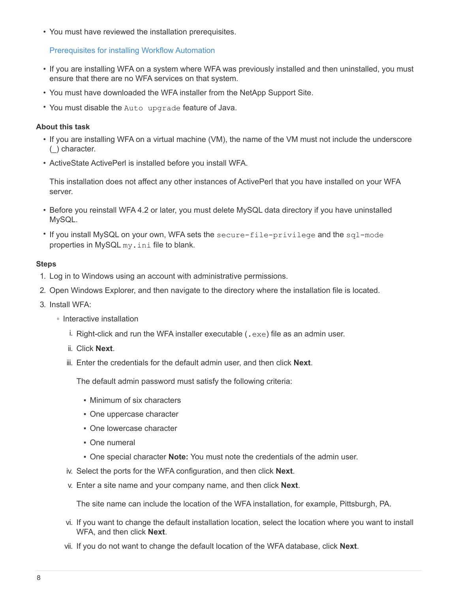• You must have reviewed the installation prerequisites.

[Prerequisites for installing Workflow Automation](#page-7-0)

- If you are installing WFA on a system where WFA was previously installed and then uninstalled, you must ensure that there are no WFA services on that system.
- You must have downloaded the WFA installer from the NetApp Support Site.
- You must disable the Auto upgrade feature of Java.

#### **About this task**

- If you are installing WFA on a virtual machine (VM), the name of the VM must not include the underscore (\_) character.
- ActiveState ActivePerl is installed before you install WFA.

This installation does not affect any other instances of ActivePerl that you have installed on your WFA server.

- Before you reinstall WFA 4.2 or later, you must delete MySQL data directory if you have uninstalled MySQL.
- If you install MySQL on your own, WFA sets the secure-file-privilege and the sql-mode properties in MySQL my.ini file to blank.

#### **Steps**

- 1. Log in to Windows using an account with administrative permissions.
- 2. Open Windows Explorer, and then navigate to the directory where the installation file is located.
- 3. Install WFA:
	- Interactive installation
		- i. Right-click and run the WFA installer executable (. exe) file as an admin user.
		- ii. Click **Next**.
		- iii. Enter the credentials for the default admin user, and then click **Next**.

The default admin password must satisfy the following criteria:

- Minimum of six characters
- One uppercase character
- One lowercase character
- One numeral
- One special character **Note:** You must note the credentials of the admin user.
- iv. Select the ports for the WFA configuration, and then click **Next**.
- v. Enter a site name and your company name, and then click **Next**.

The site name can include the location of the WFA installation, for example, Pittsburgh, PA.

- vi. If you want to change the default installation location, select the location where you want to install WFA, and then click **Next**.
- vii. If you do not want to change the default location of the WFA database, click **Next**.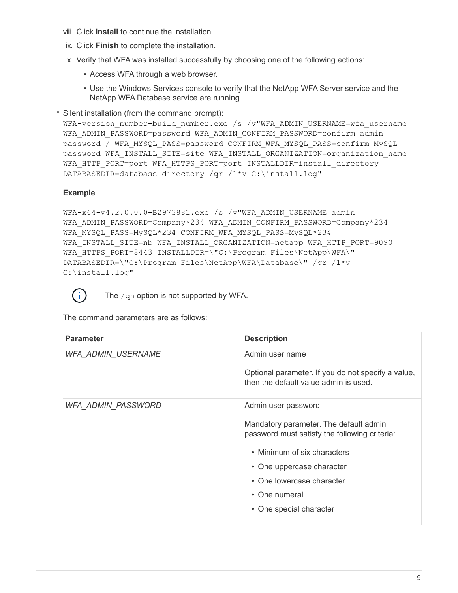- viii. Click **Install** to continue the installation.
- ix. Click **Finish** to complete the installation.
- x. Verify that WFA was installed successfully by choosing one of the following actions:
	- **Access WFA through a web browser.**
	- **.** Use the Windows Services console to verify that the NetApp WFA Server service and the NetApp WFA Database service are running.

◦ Silent installation (from the command prompt):

WFA-version number-build number.exe /s /v"WFA ADMIN USERNAME=wfa username WFA ADMIN PASSWORD=password WFA ADMIN CONFIRM PASSWORD=confirm admin password / WFA\_MYSQL\_PASS=password CONFIRM\_WFA\_MYSQL\_PASS=confirm MySQL password WFA\_INSTALL\_SITE=site WFA\_INSTALL\_ORGANIZATION=organization\_name WFA\_HTTP\_PORT=port WFA\_HTTPS\_PORT=port INSTALLDIR=install\_directory DATABASEDIR=database directory /qr /l\*v C:\install.log"

# **Example**

```
WFA-x64-v4.2.0.0.0-B2973881.exe /s /v"WFA ADMIN USERNAME=admin
WFA_ADMIN_PASSWORD=Company*234 WFA_ADMIN_CONFIRM_PASSWORD=Company*234
WFA MYSQL PASS=MySQL*234 CONFIRM WFA MYSQL PASS=MySQL*234
WFA INSTALL SITE=nb WFA INSTALL ORGANIZATION=netapp WFA HTTP PORT=9090
WFA HTTPS PORT=8443 INSTALLDIR=\"C:\Program Files\NetApp\WFA\"
DATABASEDIR=\"C:\Program Files\NetApp\WFA\Database\" /qr /l*v
C:\install.log"
```


The /qn option is not supported by WFA.

The command parameters are as follows:

| <b>Parameter</b>          | <b>Description</b>                                                                                                                                                                                                                                  |
|---------------------------|-----------------------------------------------------------------------------------------------------------------------------------------------------------------------------------------------------------------------------------------------------|
| <b>WFA_ADMIN_USERNAME</b> | Admin user name<br>Optional parameter. If you do not specify a value,<br>then the default value admin is used.                                                                                                                                      |
| WFA_ADMIN_PASSWORD        | Admin user password<br>Mandatory parameter. The default admin<br>password must satisfy the following criteria:<br>• Minimum of six characters<br>• One uppercase character<br>• One lowercase character<br>• One numeral<br>• One special character |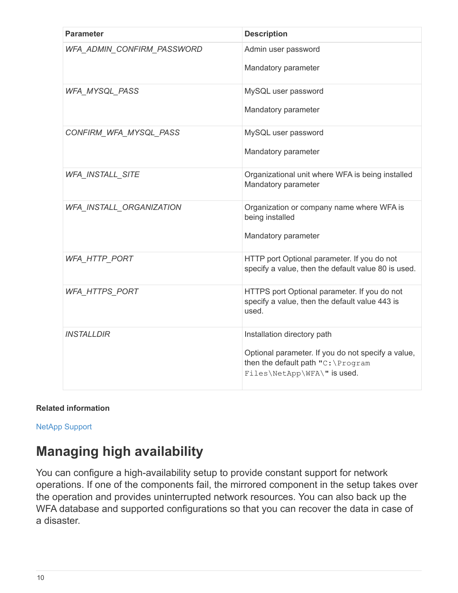| <b>Parameter</b>           | <b>Description</b>                                                                                      |
|----------------------------|---------------------------------------------------------------------------------------------------------|
| WFA_ADMIN_CONFIRM_PASSWORD | Admin user password                                                                                     |
|                            | Mandatory parameter                                                                                     |
| <b>WFA MYSQL PASS</b>      | MySQL user password                                                                                     |
|                            | Mandatory parameter                                                                                     |
| CONFIRM_WFA_MYSQL_PASS     | MySQL user password                                                                                     |
|                            | Mandatory parameter                                                                                     |
| WFA_INSTALL_SITE           | Organizational unit where WFA is being installed<br>Mandatory parameter                                 |
| WFA_INSTALL_ORGANIZATION   | Organization or company name where WFA is<br>being installed                                            |
|                            | Mandatory parameter                                                                                     |
| <b>WFA_HTTP_PORT</b>       | HTTP port Optional parameter. If you do not<br>specify a value, then the default value 80 is used.      |
| <b>WFA HTTPS PORT</b>      | HTTPS port Optional parameter. If you do not<br>specify a value, then the default value 443 is<br>used. |
| <b>INSTALLDIR</b>          | Installation directory path                                                                             |
|                            | Optional parameter. If you do not specify a value,<br>then the default path "C: \Program                |
|                            | Files\NetApp\WFA\" is used.                                                                             |

# **Related information**

[NetApp Support](http://mysupport.netapp.com)

# <span id="page-11-0"></span>**Managing high availability**

You can configure a high-availability setup to provide constant support for network operations. If one of the components fail, the mirrored component in the setup takes over the operation and provides uninterrupted network resources. You can also back up the WFA database and supported configurations so that you can recover the data in case of a disaster.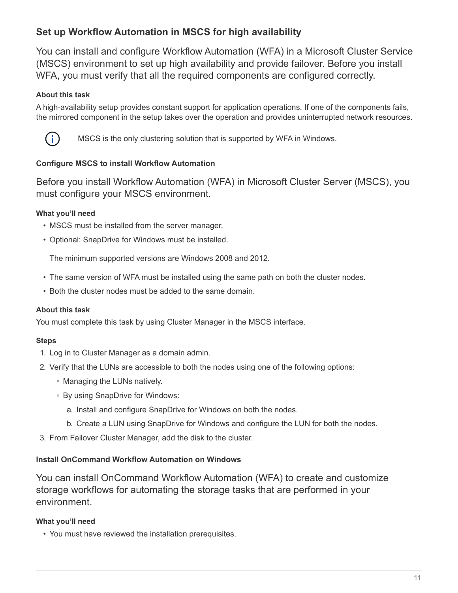# <span id="page-12-0"></span>**Set up Workflow Automation in MSCS for high availability**

You can install and configure Workflow Automation (WFA) in a Microsoft Cluster Service (MSCS) environment to set up high availability and provide failover. Before you install WFA, you must verify that all the required components are configured correctly.

# **About this task**

A high-availability setup provides constant support for application operations. If one of the components fails, the mirrored component in the setup takes over the operation and provides uninterrupted network resources.



MSCS is the only clustering solution that is supported by WFA in Windows.

# <span id="page-12-1"></span>**Configure MSCS to install Workflow Automation**

Before you install Workflow Automation (WFA) in Microsoft Cluster Server (MSCS), you must configure your MSCS environment.

# **What you'll need**

- MSCS must be installed from the server manager.
- Optional: SnapDrive for Windows must be installed.

The minimum supported versions are Windows 2008 and 2012.

- The same version of WFA must be installed using the same path on both the cluster nodes.
- Both the cluster nodes must be added to the same domain.

# **About this task**

You must complete this task by using Cluster Manager in the MSCS interface.

# **Steps**

- 1. Log in to Cluster Manager as a domain admin.
- 2. Verify that the LUNs are accessible to both the nodes using one of the following options:
	- Managing the LUNs natively.
	- By using SnapDrive for Windows:
		- a. Install and configure SnapDrive for Windows on both the nodes.
		- b. Create a LUN using SnapDrive for Windows and configure the LUN for both the nodes.
- 3. From Failover Cluster Manager, add the disk to the cluster.

# **Install OnCommand Workflow Automation on Windows**

You can install OnCommand Workflow Automation (WFA) to create and customize storage workflows for automating the storage tasks that are performed in your environment.

# **What you'll need**

• You must have reviewed the installation prerequisites.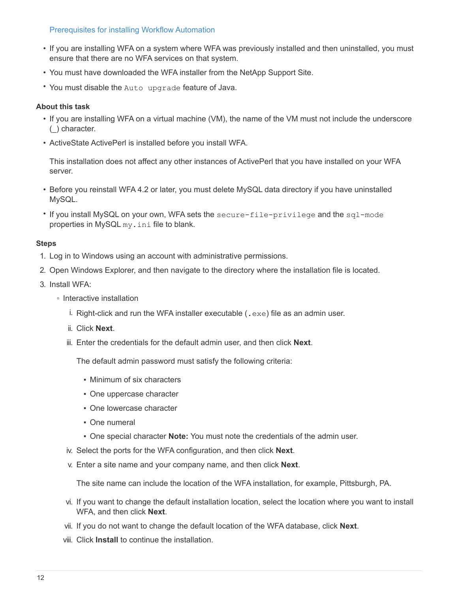#### [Prerequisites for installing Workflow Automation](#page-7-0)

- If you are installing WFA on a system where WFA was previously installed and then uninstalled, you must ensure that there are no WFA services on that system.
- You must have downloaded the WFA installer from the NetApp Support Site.
- You must disable the Auto upgrade feature of Java.

#### **About this task**

- If you are installing WFA on a virtual machine (VM), the name of the VM must not include the underscore (\_) character.
- ActiveState ActivePerl is installed before you install WFA.

This installation does not affect any other instances of ActivePerl that you have installed on your WFA server.

- Before you reinstall WFA 4.2 or later, you must delete MySQL data directory if you have uninstalled MySQL.
- If you install MySQL on your own, WFA sets the secure-file-privilege and the sql-mode properties in MySQL my.ini file to blank.

#### **Steps**

- 1. Log in to Windows using an account with administrative permissions.
- 2. Open Windows Explorer, and then navigate to the directory where the installation file is located.
- 3. Install WFA:
	- Interactive installation
		- i. Right-click and run the WFA installer executable (.exe) file as an admin user.
		- ii. Click **Next**.
		- iii. Enter the credentials for the default admin user, and then click **Next**.

The default admin password must satisfy the following criteria:

- Minimum of six characters
- One uppercase character
- One lowercase character
- One numeral
- One special character **Note:** You must note the credentials of the admin user.
- iv. Select the ports for the WFA configuration, and then click **Next**.
- v. Enter a site name and your company name, and then click **Next**.

The site name can include the location of the WFA installation, for example, Pittsburgh, PA.

- vi. If you want to change the default installation location, select the location where you want to install WFA, and then click **Next**.
- vii. If you do not want to change the default location of the WFA database, click **Next**.
- viii. Click **Install** to continue the installation.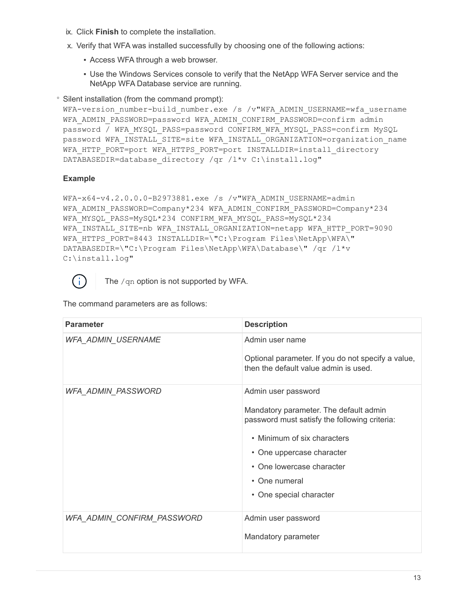- ix. Click **Finish** to complete the installation.
- x. Verify that WFA was installed successfully by choosing one of the following actions:
	- **EXECCESS WFA through a web browser.**
	- Use the Windows Services console to verify that the NetApp WFA Server service and the NetApp WFA Database service are running.

◦ Silent installation (from the command prompt):

WFA-version number-build number.exe /s /v"WFA ADMIN USERNAME=wfa username WFA ADMIN PASSWORD=password WFA ADMIN CONFIRM PASSWORD=confirm admin password / WFA\_MYSQL\_PASS=password CONFIRM\_WFA\_MYSQL\_PASS=confirm MySQL password WFA\_INSTALL\_SITE=site WFA\_INSTALL\_ORGANIZATION=organization\_name WFA HTTP PORT=port WFA HTTPS PORT=port INSTALLDIR=install directory DATABASEDIR=database directory /qr /l\*v C:\install.log"

# **Example**

```
WFA-x64-v4.2.0.0.0-B2973881.exe /s /v"WFA ADMIN USERNAME=admin
WFA_ADMIN_PASSWORD=Company*234 WFA_ADMIN_CONFIRM_PASSWORD=Company*234
WFA MYSQL PASS=MySQL*234 CONFIRM WFA MYSQL PASS=MySQL*234
WFA INSTALL SITE=nb WFA INSTALL ORGANIZATION=netapp WFA HTTP PORT=9090
WFA_HTTPS_PORT=8443_INSTALLDIR=\"C:\Program Files\NetApp\WFA\"
DATABASEDIR=\"C:\Program Files\NetApp\WFA\Database\" /qr /l*v
C:\install.log"
```


The  $/qn$  option is not supported by WFA.

The command parameters are as follows:

| <b>Parameter</b>           | <b>Description</b>                                                                                                                                                                                                                                  |
|----------------------------|-----------------------------------------------------------------------------------------------------------------------------------------------------------------------------------------------------------------------------------------------------|
| WFA_ADMIN_USERNAME         | Admin user name<br>Optional parameter. If you do not specify a value,<br>then the default value admin is used.                                                                                                                                      |
| WFA_ADMIN_PASSWORD         | Admin user password<br>Mandatory parameter. The default admin<br>password must satisfy the following criteria:<br>• Minimum of six characters<br>• One uppercase character<br>• One lowercase character<br>• One numeral<br>• One special character |
| WFA_ADMIN_CONFIRM_PASSWORD | Admin user password<br>Mandatory parameter                                                                                                                                                                                                          |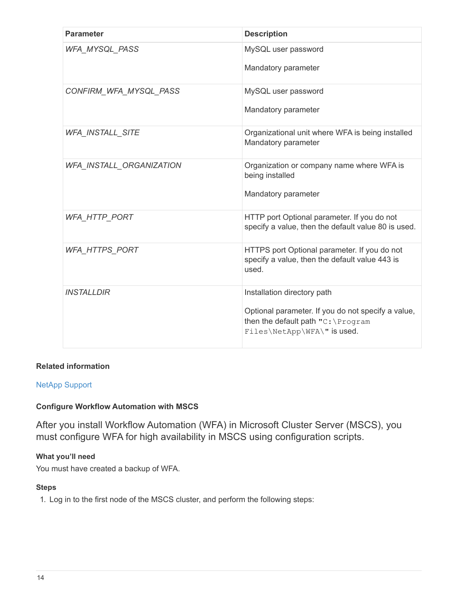| <b>Parameter</b>         | <b>Description</b>                                                                                                                                     |
|--------------------------|--------------------------------------------------------------------------------------------------------------------------------------------------------|
| <b>WFA_MYSQL_PASS</b>    | MySQL user password<br>Mandatory parameter                                                                                                             |
| CONFIRM_WFA_MYSQL_PASS   | MySQL user password<br>Mandatory parameter                                                                                                             |
| <b>WFA_INSTALL_SITE</b>  | Organizational unit where WFA is being installed<br>Mandatory parameter                                                                                |
| WFA_INSTALL_ORGANIZATION | Organization or company name where WFA is<br>being installed<br>Mandatory parameter                                                                    |
| <b>WFA_HTTP_PORT</b>     | HTTP port Optional parameter. If you do not<br>specify a value, then the default value 80 is used.                                                     |
| WFA_HTTPS_PORT           | HTTPS port Optional parameter. If you do not<br>specify a value, then the default value 443 is<br>used.                                                |
| <b>INSTALLDIR</b>        | Installation directory path<br>Optional parameter. If you do not specify a value,<br>then the default path "C: \Program<br>Files\NetApp\WFA\" is used. |

# **Related information**

# [NetApp Support](http://mysupport.netapp.com)

# **Configure Workflow Automation with MSCS**

After you install Workflow Automation (WFA) in Microsoft Cluster Server (MSCS), you must configure WFA for high availability in MSCS using configuration scripts.

# **What you'll need**

You must have created a backup of WFA.

#### **Steps**

1. Log in to the first node of the MSCS cluster, and perform the following steps: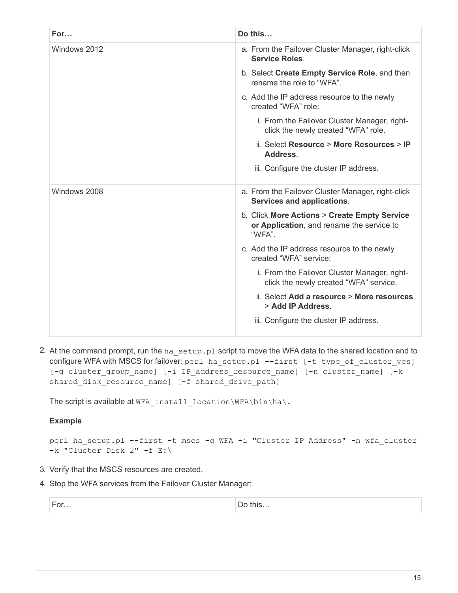| For          | Do this                                                                                             |  |
|--------------|-----------------------------------------------------------------------------------------------------|--|
| Windows 2012 | a. From the Failover Cluster Manager, right-click<br><b>Service Roles</b>                           |  |
|              | b. Select Create Empty Service Role, and then<br>rename the role to "WFA".                          |  |
|              | c. Add the IP address resource to the newly<br>created "WFA" role:                                  |  |
|              | i. From the Failover Cluster Manager, right-<br>click the newly created "WFA" role.                 |  |
|              | ii. Select Resource > More Resources > IP<br>Address.                                               |  |
|              | iii. Configure the cluster IP address.                                                              |  |
| Windows 2008 | a. From the Failover Cluster Manager, right-click<br>Services and applications.                     |  |
|              | b. Click More Actions > Create Empty Service<br>or Application, and rename the service to<br>"WFA". |  |
|              | c. Add the IP address resource to the newly<br>created "WFA" service:                               |  |
|              | i. From the Failover Cluster Manager, right-<br>click the newly created "WFA" service.              |  |
|              | ii. Select Add a resource > More resources<br>> Add IP Address.                                     |  |
|              | iii. Configure the cluster IP address.                                                              |  |

2. At the command prompt, run the ha setup.pl script to move the WFA data to the shared location and to configure WFA with MSCS for failover: perl ha\_setup.pl --first [-t type\_of\_cluster\_vcs] [-g cluster\_group\_name] [-i IP\_address\_resource\_name] [-n cluster\_name] [-k shared\_disk\_resource\_name] [-f shared\_drive\_path]

The script is available at WFA\_install\_location\WFA\bin\ha\.

# **Example**

perl ha\_setup.pl --first -t mscs -g WFA -i "Cluster IP Address" -n wfa\_cluster -k "Cluster Disk 2" -f E:\

- 3. Verify that the MSCS resources are created.
- 4. Stop the WFA services from the Failover Cluster Manager:

|  | Ħ |
|--|---|
|  |   |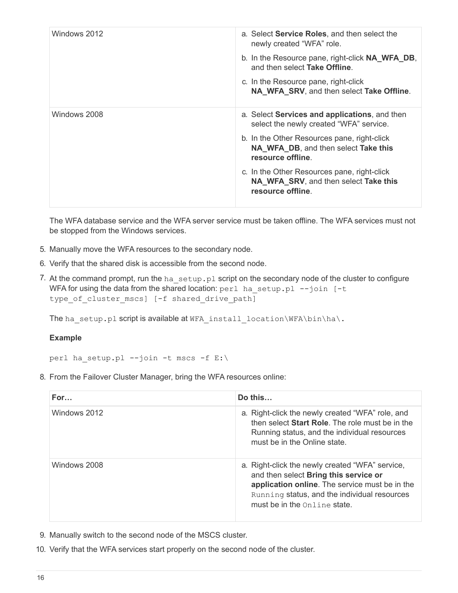| Windows 2012 | a. Select <b>Service Roles</b> , and then select the                                                      |
|--------------|-----------------------------------------------------------------------------------------------------------|
|              | newly created "WFA" role.                                                                                 |
|              | b. In the Resource pane, right-click <b>NA_WFA_DB</b> ,<br>and then select Take Offline.                  |
|              | c. In the Resource pane, right-click<br>NA_WFA_SRV, and then select Take Offline.                         |
| Windows 2008 | a. Select <b>Services and applications</b> , and then<br>select the newly created "WFA" service.          |
|              | b. In the Other Resources pane, right-click<br>NA_WFA_DB, and then select Take this<br>resource offline.  |
|              | c. In the Other Resources pane, right-click<br>NA_WFA_SRV, and then select Take this<br>resource offline. |

The WFA database service and the WFA server service must be taken offline. The WFA services must not be stopped from the Windows services.

- 5. Manually move the WFA resources to the secondary node.
- 6. Verify that the shared disk is accessible from the second node.
- 7. At the command prompt, run the ha\_setup.pl script on the secondary node of the cluster to configure WFA for using the data from the shared location: perl ha\_setup.pl --join [-t type of cluster mscs] [-f shared drive path]

The ha\_setup.pl script is available at WFA\_install\_location\WFA\bin\ha\.

# **Example**

perl ha setup.pl --join -t mscs -f E:\

8. From the Failover Cluster Manager, bring the WFA resources online:

| For          | Do this                                                                                                                                                                                                                          |
|--------------|----------------------------------------------------------------------------------------------------------------------------------------------------------------------------------------------------------------------------------|
| Windows 2012 | a. Right-click the newly created "WFA" role, and<br>then select <b>Start Role</b> . The role must be in the<br>Running status, and the individual resources<br>must be in the Online state.                                      |
| Windows 2008 | a. Right-click the newly created "WFA" service,<br>and then select Bring this service or<br>application online. The service must be in the<br>Running status, and the individual resources<br>must be in the $Online$ ine state. |

- 9. Manually switch to the second node of the MSCS cluster.
- 10. Verify that the WFA services start properly on the second node of the cluster.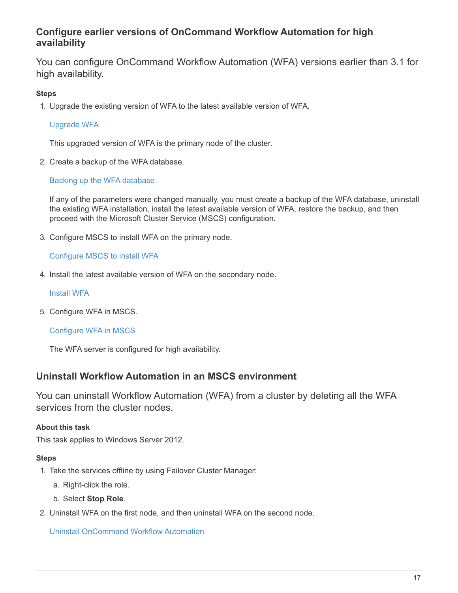# **Configure earlier versions of OnCommand Workflow Automation for high availability**

You can configure OnCommand Workflow Automation (WFA) versions earlier than 3.1 for high availability.

# **Steps**

1. Upgrade the existing version of WFA to the latest available version of WFA.

# [Upgrade WFA](#page-41-0)

This upgraded version of WFA is the primary node of the cluster.

2. Create a backup of the WFA database.

# [Backing up the WFA database](#page-45-0)

If any of the parameters were changed manually, you must create a backup of the WFA database, uninstall the existing WFA installation, install the latest available version of WFA, restore the backup, and then proceed with the Microsoft Cluster Service (MSCS) configuration.

3. Configure MSCS to install WFA on the primary node.

# [Configure MSCS to install WFA](#page-12-1)

4. Install the latest available version of WFA on the secondary node.

### [Install WFA](#page-8-0)

5. Configure WFA in MSCS.

# [Configure WFA in MSCS](#page-12-1)

The WFA server is configured for high availability.

# **Uninstall Workflow Automation in an MSCS environment**

You can uninstall Workflow Automation (WFA) from a cluster by deleting all the WFA services from the cluster nodes.

# **About this task**

This task applies to Windows Server 2012.

#### **Steps**

- 1. Take the services offline by using Failover Cluster Manager:
	- a. Right-click the role.
	- b. Select **Stop Role**.
- 2. Uninstall WFA on the first node, and then uninstall WFA on the second node.

[Uninstall OnCommand Workflow Automation](#page-56-0)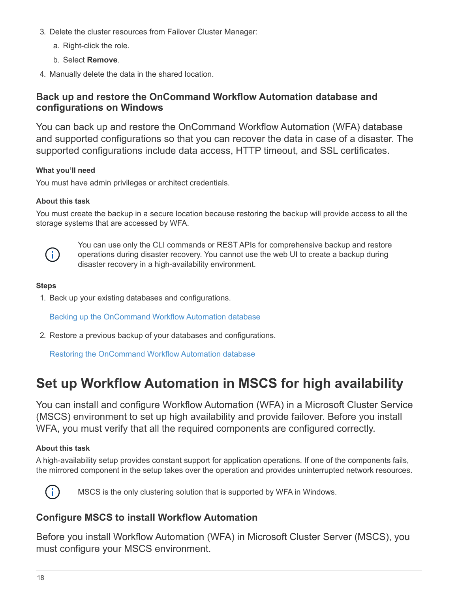- 3. Delete the cluster resources from Failover Cluster Manager:
	- a. Right-click the role.
	- b. Select **Remove**.
- 4. Manually delete the data in the shared location.

# **Back up and restore the OnCommand Workflow Automation database and configurations on Windows**

You can back up and restore the OnCommand Workflow Automation (WFA) database and supported configurations so that you can recover the data in case of a disaster. The supported configurations include data access, HTTP timeout, and SSL certificates.

# **What you'll need**

You must have admin privileges or architect credentials.

# **About this task**

You must create the backup in a secure location because restoring the backup will provide access to all the storage systems that are accessed by WFA.



You can use only the CLI commands or REST APIs for comprehensive backup and restore operations during disaster recovery. You cannot use the web UI to create a backup during disaster recovery in a high-availability environment.

# **Steps**

1. Back up your existing databases and configurations.

[Backing up the OnCommand Workflow Automation database](#page-45-0)

2. Restore a previous backup of your databases and configurations.

[Restoring the OnCommand Workflow Automation database](#page-49-0)

# **Set up Workflow Automation in MSCS for high availability**

You can install and configure Workflow Automation (WFA) in a Microsoft Cluster Service (MSCS) environment to set up high availability and provide failover. Before you install WFA, you must verify that all the required components are configured correctly.

# **About this task**

A high-availability setup provides constant support for application operations. If one of the components fails, the mirrored component in the setup takes over the operation and provides uninterrupted network resources.



MSCS is the only clustering solution that is supported by WFA in Windows.

# **Configure MSCS to install Workflow Automation**

Before you install Workflow Automation (WFA) in Microsoft Cluster Server (MSCS), you must configure your MSCS environment.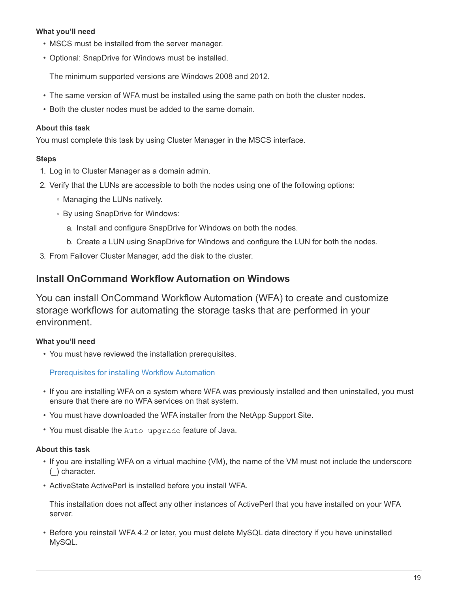# **What you'll need**

- MSCS must be installed from the server manager.
- Optional: SnapDrive for Windows must be installed.

The minimum supported versions are Windows 2008 and 2012.

- The same version of WFA must be installed using the same path on both the cluster nodes.
- Both the cluster nodes must be added to the same domain.

# **About this task**

You must complete this task by using Cluster Manager in the MSCS interface.

# **Steps**

- 1. Log in to Cluster Manager as a domain admin.
- 2. Verify that the LUNs are accessible to both the nodes using one of the following options:
	- Managing the LUNs natively.
	- By using SnapDrive for Windows:
		- a. Install and configure SnapDrive for Windows on both the nodes.
		- b. Create a LUN using SnapDrive for Windows and configure the LUN for both the nodes.
- 3. From Failover Cluster Manager, add the disk to the cluster.

# **Install OnCommand Workflow Automation on Windows**

You can install OnCommand Workflow Automation (WFA) to create and customize storage workflows for automating the storage tasks that are performed in your environment.

# **What you'll need**

• You must have reviewed the installation prerequisites.

[Prerequisites for installing Workflow Automation](#page-7-0)

- If you are installing WFA on a system where WFA was previously installed and then uninstalled, you must ensure that there are no WFA services on that system.
- You must have downloaded the WFA installer from the NetApp Support Site.
- You must disable the Auto upgrade feature of Java.

# **About this task**

- If you are installing WFA on a virtual machine (VM), the name of the VM must not include the underscore (\_) character.
- ActiveState ActivePerl is installed before you install WFA.

This installation does not affect any other instances of ActivePerl that you have installed on your WFA server.

• Before you reinstall WFA 4.2 or later, you must delete MySQL data directory if you have uninstalled MySQL.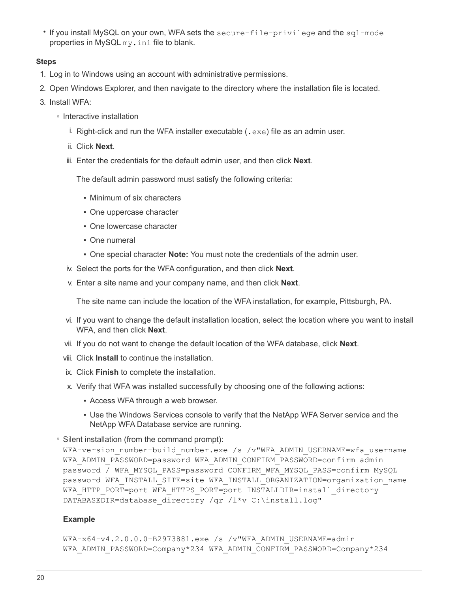• If you install MySQL on your own, WFA sets the secure-file-privilege and the sql-mode properties in MySQL my.ini file to blank.

#### **Steps**

- 1. Log in to Windows using an account with administrative permissions.
- 2. Open Windows Explorer, and then navigate to the directory where the installation file is located.
- 3. Install WFA:
	- Interactive installation
		- i. Right-click and run the WFA installer executable (.exe) file as an admin user.
		- ii. Click **Next**.
		- iii. Enter the credentials for the default admin user, and then click **Next**.

The default admin password must satisfy the following criteria:

- Minimum of six characters
- One uppercase character
- **One lowercase character**
- One numeral
- One special character **Note:** You must note the credentials of the admin user.
- iv. Select the ports for the WFA configuration, and then click **Next**.
- v. Enter a site name and your company name, and then click **Next**.

The site name can include the location of the WFA installation, for example, Pittsburgh, PA.

- vi. If you want to change the default installation location, select the location where you want to install WFA, and then click **Next**.
- vii. If you do not want to change the default location of the WFA database, click **Next**.
- viii. Click **Install** to continue the installation.
- ix. Click **Finish** to complete the installation.
- x. Verify that WFA was installed successfully by choosing one of the following actions:
	- **EXECCESS WFA through a web browser.**
	- **.** Use the Windows Services console to verify that the NetApp WFA Server service and the NetApp WFA Database service are running.
- Silent installation (from the command prompt):

WFA-version number-build number.exe /s /v"WFA\_ADMIN\_USERNAME=wfa\_username WFA\_ADMIN\_PASSWORD=password WFA\_ADMIN\_CONFIRM\_PASSWORD=confirm admin password / WFA\_MYSQL\_PASS=password CONFIRM\_WFA\_MYSQL\_PASS=confirm MySQL password WFA\_INSTALL\_SITE=site WFA\_INSTALL\_ORGANIZATION=organization\_name WFA HTTP PORT=port WFA HTTPS PORT=port INSTALLDIR=install directory DATABASEDIR=database directory /qr /l\*v C:\install.log"

#### **Example**

WFA-x64-v4.2.0.0.0-B2973881.exe /s /v"WFA ADMIN USERNAME=admin WFA\_ADMIN\_PASSWORD=Company\*234 WFA\_ADMIN\_CONFIRM\_PASSWORD=Company\*234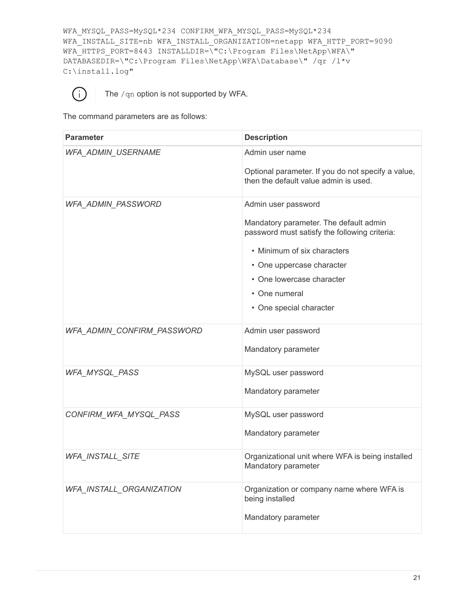```
WFA_MYSQL_PASS=MySQL*234 CONFIRM_WFA_MYSQL_PASS=MySQL*234
WFA_INSTALL_SITE=nb WFA_INSTALL_ORGANIZATION=netapp WFA_HTTP_PORT=9090
WFA_HTTPS_PORT=8443_INSTALLDIR=\"C:\Program Files\NetApp\WFA\"
DATABASEDIR=\"C:\Program Files\NetApp\WFA\Database\" /qr /l*v
C:\install.log"
```


The /qn option is not supported by WFA.

The command parameters are as follows:

| <b>Parameter</b>           | <b>Description</b>                                                                                                                                                                                                                                  |
|----------------------------|-----------------------------------------------------------------------------------------------------------------------------------------------------------------------------------------------------------------------------------------------------|
| WFA_ADMIN_USERNAME         | Admin user name<br>Optional parameter. If you do not specify a value,<br>then the default value admin is used.                                                                                                                                      |
| WFA_ADMIN_PASSWORD         | Admin user password<br>Mandatory parameter. The default admin<br>password must satisfy the following criteria:<br>• Minimum of six characters<br>• One uppercase character<br>• One lowercase character<br>• One numeral<br>• One special character |
| WFA_ADMIN_CONFIRM_PASSWORD | Admin user password<br>Mandatory parameter                                                                                                                                                                                                          |
| WFA_MYSQL_PASS             | MySQL user password<br>Mandatory parameter                                                                                                                                                                                                          |
| CONFIRM_WFA_MYSQL_PASS     | MySQL user password<br>Mandatory parameter                                                                                                                                                                                                          |
| <b>WFA INSTALL SITE</b>    | Organizational unit where WFA is being installed<br>Mandatory parameter                                                                                                                                                                             |
| WFA_INSTALL_ORGANIZATION   | Organization or company name where WFA is<br>being installed<br>Mandatory parameter                                                                                                                                                                 |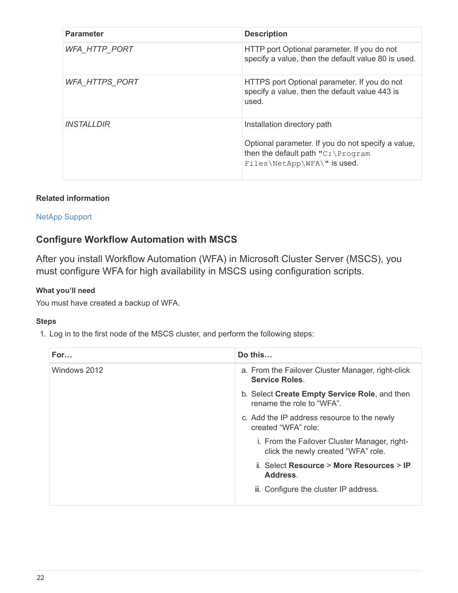| <b>Parameter</b>         | <b>Description</b>                                                                                                                                                |
|--------------------------|-------------------------------------------------------------------------------------------------------------------------------------------------------------------|
| <b>WFA HTTP PORT</b>     | HTTP port Optional parameter. If you do not<br>specify a value, then the default value 80 is used.                                                                |
| <b>WFA HTTPS PORT</b>    | HTTPS port Optional parameter. If you do not<br>specify a value, then the default value 443 is<br>used.                                                           |
| <i><b>INSTALLDIR</b></i> | Installation directory path<br>Optional parameter. If you do not specify a value,<br>then the default path $\texttt{"C:\PProgram}$<br>Files\NetApp\WFA\" is used. |

# **Related information**

# [NetApp Support](http://mysupport.netapp.com)

# **Configure Workflow Automation with MSCS**

After you install Workflow Automation (WFA) in Microsoft Cluster Server (MSCS), you must configure WFA for high availability in MSCS using configuration scripts.

# **What you'll need**

You must have created a backup of WFA.

# **Steps**

1. Log in to the first node of the MSCS cluster, and perform the following steps:

| For          | Do this                                                                             |  |
|--------------|-------------------------------------------------------------------------------------|--|
| Windows 2012 | a. From the Failover Cluster Manager, right-click<br><b>Service Roles</b>           |  |
|              | b. Select Create Empty Service Role, and then<br>rename the role to "WFA".          |  |
|              | c. Add the IP address resource to the newly<br>created "WFA" role:                  |  |
|              | i. From the Failover Cluster Manager, right-<br>click the newly created "WFA" role. |  |
|              | ii. Select Resource > More Resources > IP<br>Address.                               |  |
|              | iii. Configure the cluster IP address.                                              |  |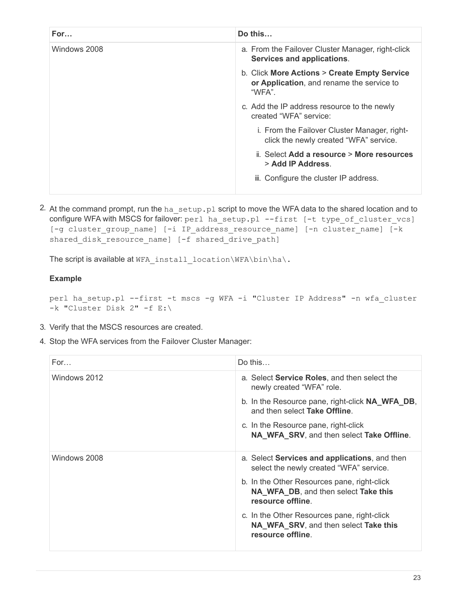| For          | Do this                                                                                             |  |
|--------------|-----------------------------------------------------------------------------------------------------|--|
| Windows 2008 | a. From the Failover Cluster Manager, right-click<br>Services and applications.                     |  |
|              | b. Click More Actions > Create Empty Service<br>or Application, and rename the service to<br>"WFA". |  |
|              | c. Add the IP address resource to the newly<br>created "WFA" service:                               |  |
|              | i. From the Failover Cluster Manager, right-<br>click the newly created "WFA" service.              |  |
|              | ii. Select Add a resource > More resources<br>> Add IP Address.                                     |  |
|              | iii. Configure the cluster IP address.                                                              |  |

2. At the command prompt, run the ha\_setup.pl script to move the WFA data to the shared location and to configure WFA with MSCS for failover: perl ha\_setup.pl --first [-t type\_of\_cluster\_vcs] [-g cluster\_group\_name] [-i IP\_address\_resource\_name] [-n cluster\_name] [-k shared disk resource name] [-f shared drive path]

The script is available at WFA install location\WFA\bin\ha\.

#### **Example**

perl ha\_setup.pl --first -t mscs -g WFA -i "Cluster IP Address" -n wfa\_cluster -k "Cluster Disk 2" -f E:\

- 3. Verify that the MSCS resources are created.
- 4. Stop the WFA services from the Failover Cluster Manager:

| For          | Do this                                                                                                   |  |
|--------------|-----------------------------------------------------------------------------------------------------------|--|
| Windows 2012 | a. Select <b>Service Roles</b> , and then select the<br>newly created "WFA" role.                         |  |
|              | b. In the Resource pane, right-click <b>NA_WFA_DB</b> ,<br>and then select Take Offline.                  |  |
|              | c. In the Resource pane, right-click<br>NA_WFA_SRV, and then select Take Offline.                         |  |
| Windows 2008 | a. Select Services and applications, and then<br>select the newly created "WFA" service.                  |  |
|              | b. In the Other Resources pane, right-click<br>NA_WFA_DB, and then select Take this<br>resource offline.  |  |
|              | c. In the Other Resources pane, right-click<br>NA_WFA_SRV, and then select Take this<br>resource offline. |  |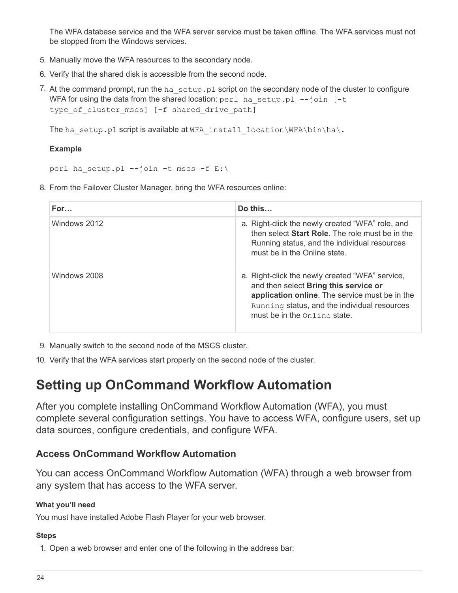The WFA database service and the WFA server service must be taken offline. The WFA services must not be stopped from the Windows services.

- 5. Manually move the WFA resources to the secondary node.
- 6. Verify that the shared disk is accessible from the second node.
- 7. At the command prompt, run the ha setup.pl script on the secondary node of the cluster to configure WFA for using the data from the shared location:  $perl$  ha setup.pl  $--join$  [-t type of cluster mscs] [-f shared drive path]

The ha setup.pl script is available at WFA install location\WFA\bin\ha\.

# **Example**

perl ha setup.pl --join -t mscs -f E:\

8. From the Failover Cluster Manager, bring the WFA resources online:

| For          | Do this                                                                                                                                                                                                                          |
|--------------|----------------------------------------------------------------------------------------------------------------------------------------------------------------------------------------------------------------------------------|
| Windows 2012 | a. Right-click the newly created "WFA" role, and<br>then select <b>Start Role</b> . The role must be in the<br>Running status, and the individual resources<br>must be in the Online state.                                      |
| Windows 2008 | a. Right-click the newly created "WFA" service,<br>and then select Bring this service or<br>application online. The service must be in the<br>Running status, and the individual resources<br>must be in the $Online$ ine state. |

- 9. Manually switch to the second node of the MSCS cluster.
- 10. Verify that the WFA services start properly on the second node of the cluster.

# <span id="page-25-0"></span>**Setting up OnCommand Workflow Automation**

After you complete installing OnCommand Workflow Automation (WFA), you must complete several configuration settings. You have to access WFA, configure users, set up data sources, configure credentials, and configure WFA.

# **Access OnCommand Workflow Automation**

You can access OnCommand Workflow Automation (WFA) through a web browser from any system that has access to the WFA server.

# **What you'll need**

You must have installed Adobe Flash Player for your web browser.

# **Steps**

1. Open a web browser and enter one of the following in the address bar: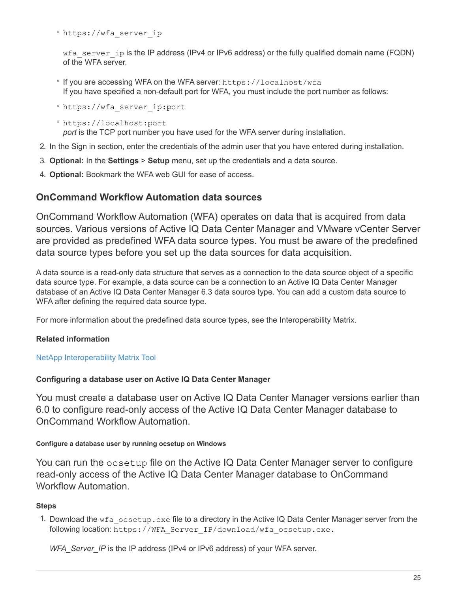◦ https://wfa\_server\_ip

wfa server ip is the IP address (IPv4 or IPv6 address) or the fully qualified domain name (FQDN) of the WFA server.

- If you are accessing WFA on the WFA server: https://localhost/wfa If you have specified a non-default port for WFA, you must include the port number as follows:
- https://wfa\_server\_ip:port

◦ https://localhost:port *port* is the TCP port number you have used for the WFA server during installation.

- 2. In the Sign in section, enter the credentials of the admin user that you have entered during installation.
- 3. **Optional:** In the **Settings** > **Setup** menu, set up the credentials and a data source.
- 4. **Optional:** Bookmark the WFA web GUI for ease of access.

# **OnCommand Workflow Automation data sources**

OnCommand Workflow Automation (WFA) operates on data that is acquired from data sources. Various versions of Active IQ Data Center Manager and VMware vCenter Server are provided as predefined WFA data source types. You must be aware of the predefined data source types before you set up the data sources for data acquisition.

A data source is a read-only data structure that serves as a connection to the data source object of a specific data source type. For example, a data source can be a connection to an Active IQ Data Center Manager database of an Active IQ Data Center Manager 6.3 data source type. You can add a custom data source to WFA after defining the required data source type.

For more information about the predefined data source types, see the Interoperability Matrix.

# **Related information**

[NetApp Interoperability Matrix Tool](http://mysupport.netapp.com/matrix)

# **Configuring a database user on Active IQ Data Center Manager**

You must create a database user on Active IQ Data Center Manager versions earlier than 6.0 to configure read-only access of the Active IQ Data Center Manager database to OnCommand Workflow Automation.

# **Configure a database user by running ocsetup on Windows**

You can run the ocsetup file on the Active IQ Data Center Manager server to configure read-only access of the Active IQ Data Center Manager database to OnCommand Workflow Automation.

# **Steps**

1. Download the  $wfa\$ ocsetup.exe file to a directory in the Active IQ Data Center Manager server from the following location: https://WFA\_Server\_IP/download/wfa\_ocsetup.exe.

*WFA\_Server\_IP* is the IP address (IPv4 or IPv6 address) of your WFA server.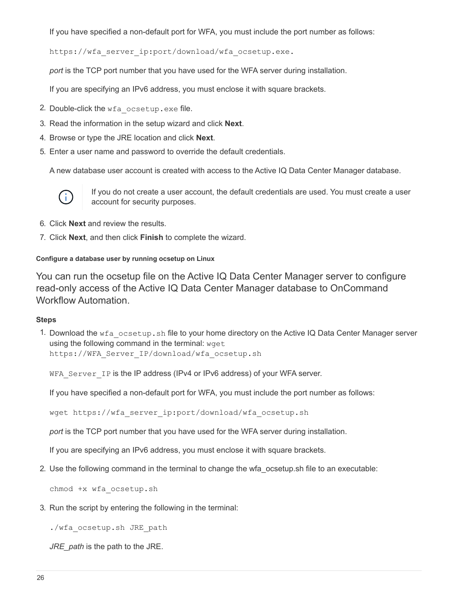If you have specified a non-default port for WFA, you must include the port number as follows:

https://wfa server ip:port/download/wfa ocsetup.exe.

*port* is the TCP port number that you have used for the WFA server during installation.

If you are specifying an IPv6 address, you must enclose it with square brackets.

- 2. Double-click the wfa ocsetup.exe file.
- 3. Read the information in the setup wizard and click **Next**.
- 4. Browse or type the JRE location and click **Next**.
- 5. Enter a user name and password to override the default credentials.

A new database user account is created with access to the Active IQ Data Center Manager database.



If you do not create a user account, the default credentials are used. You must create a user account for security purposes.

- 6. Click **Next** and review the results.
- 7. Click **Next**, and then click **Finish** to complete the wizard.

#### **Configure a database user by running ocsetup on Linux**

You can run the ocsetup file on the Active IQ Data Center Manager server to configure read-only access of the Active IQ Data Center Manager database to OnCommand Workflow Automation.

#### **Steps**

1. Download the wfa ocsetup.sh file to your home directory on the Active IQ Data Center Manager server using the following command in the terminal: wget https://WFA\_Server\_IP/download/wfa\_ocsetup.sh

WFA Server IP is the IP address (IPv4 or IPv6 address) of your WFA server.

If you have specified a non-default port for WFA, you must include the port number as follows:

wget https://wfa\_server\_ip:port/download/wfa\_ocsetup.sh

*port* is the TCP port number that you have used for the WFA server during installation.

If you are specifying an IPv6 address, you must enclose it with square brackets.

2. Use the following command in the terminal to change the wfa\_ocsetup.sh file to an executable:

chmod +x wfa\_ocsetup.sh

3. Run the script by entering the following in the terminal:

./wfa\_ocsetup.sh JRE\_path

*JRE\_path* is the path to the JRE.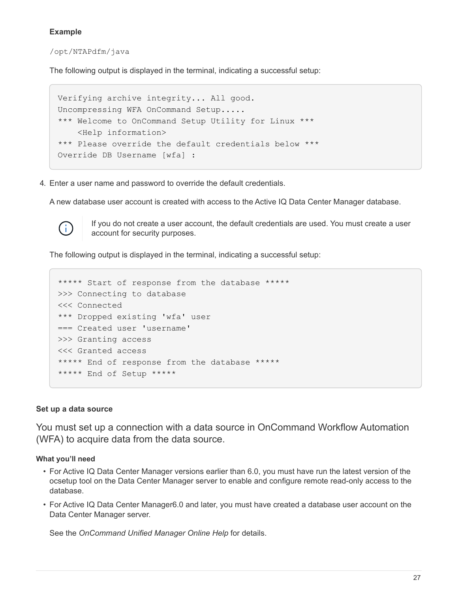# **Example**

/opt/NTAPdfm/java

The following output is displayed in the terminal, indicating a successful setup:

```
Verifying archive integrity... All good.
Uncompressing WFA OnCommand Setup.....
*** Welcome to OnCommand Setup Utility for Linux ***
      <Help information>
*** Please override the default credentials below ***
Override DB Username [wfa] :
```
4. Enter a user name and password to override the default credentials.

A new database user account is created with access to the Active IQ Data Center Manager database.



If you do not create a user account, the default credentials are used. You must create a user account for security purposes.

The following output is displayed in the terminal, indicating a successful setup:

```
***** Start of response from the database *****
>>> Connecting to database
<<< Connected
*** Dropped existing 'wfa' user
=== Created user 'username'
>>> Granting access
<<< Granted access
***** End of response from the database *****
***** End of Setup *****
```
#### **Set up a data source**

You must set up a connection with a data source in OnCommand Workflow Automation (WFA) to acquire data from the data source.

#### **What you'll need**

- For Active IQ Data Center Manager versions earlier than 6.0, you must have run the latest version of the ocsetup tool on the Data Center Manager server to enable and configure remote read-only access to the database.
- For Active IQ Data Center Manager6.0 and later, you must have created a database user account on the Data Center Manager server.

See the *OnCommand Unified Manager Online Help* for details.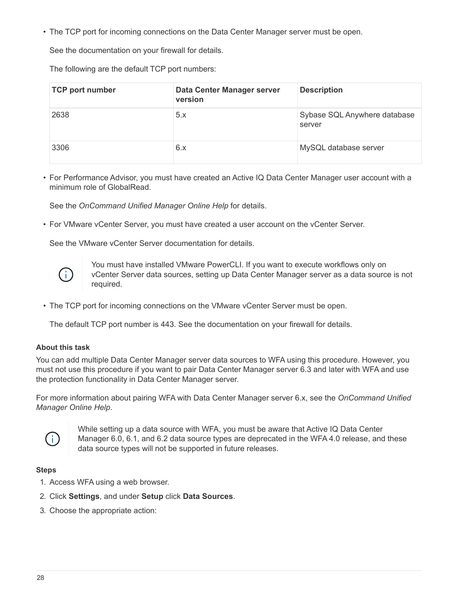• The TCP port for incoming connections on the Data Center Manager server must be open.

See the documentation on your firewall for details.

The following are the default TCP port numbers:

| <b>TCP port number</b> | Data Center Manager server<br>version | <b>Description</b>                     |
|------------------------|---------------------------------------|----------------------------------------|
| 2638                   | 5.x                                   | Sybase SQL Anywhere database<br>server |
| 3306                   | 6.x                                   | MySQL database server                  |

• For Performance Advisor, you must have created an Active IQ Data Center Manager user account with a minimum role of GlobalRead.

See the *OnCommand Unified Manager Online Help* for details.

• For VMware vCenter Server, you must have created a user account on the vCenter Server.

See the VMware vCenter Server documentation for details.



You must have installed VMware PowerCLI. If you want to execute workflows only on vCenter Server data sources, setting up Data Center Manager server as a data source is not required.

• The TCP port for incoming connections on the VMware vCenter Server must be open.

The default TCP port number is 443. See the documentation on your firewall for details.

#### **About this task**

You can add multiple Data Center Manager server data sources to WFA using this procedure. However, you must not use this procedure if you want to pair Data Center Manager server 6.3 and later with WFA and use the protection functionality in Data Center Manager server.

For more information about pairing WFA with Data Center Manager server 6.x, see the *OnCommand Unified Manager Online Help*.



While setting up a data source with WFA, you must be aware that Active IQ Data Center Manager 6.0, 6.1, and 6.2 data source types are deprecated in the WFA 4.0 release, and these data source types will not be supported in future releases.

#### **Steps**

- 1. Access WFA using a web browser.
- 2. Click **Settings**, and under **Setup** click **Data Sources**.
- 3. Choose the appropriate action: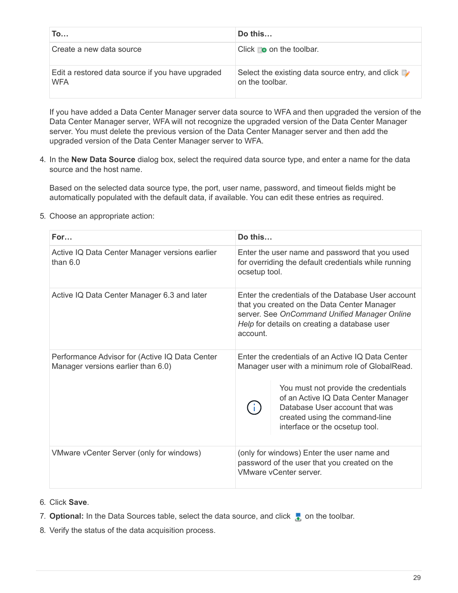| To                                                             | Do this                                                                          |
|----------------------------------------------------------------|----------------------------------------------------------------------------------|
| Create a new data source                                       | Click $\bullet$ on the toolbar.                                                  |
| Edit a restored data source if you have upgraded<br><b>WFA</b> | Select the existing data source entry, and click $\mathbb{R}$<br>on the toolbar. |

If you have added a Data Center Manager server data source to WFA and then upgraded the version of the Data Center Manager server, WFA will not recognize the upgraded version of the Data Center Manager server. You must delete the previous version of the Data Center Manager server and then add the upgraded version of the Data Center Manager server to WFA.

4. In the **New Data Source** dialog box, select the required data source type, and enter a name for the data source and the host name.

Based on the selected data source type, the port, user name, password, and timeout fields might be automatically populated with the default data, if available. You can edit these entries as required.

5. Choose an appropriate action:

| For                                                                                  | Do this                                                                                                                                                                                                                                                                                   |
|--------------------------------------------------------------------------------------|-------------------------------------------------------------------------------------------------------------------------------------------------------------------------------------------------------------------------------------------------------------------------------------------|
| Active IQ Data Center Manager versions earlier<br>than $6.0$                         | Enter the user name and password that you used<br>for overriding the default credentials while running<br>ocsetup tool.                                                                                                                                                                   |
| Active IQ Data Center Manager 6.3 and later                                          | Enter the credentials of the Database User account<br>that you created on the Data Center Manager<br>server. See OnCommand Unified Manager Online<br>Help for details on creating a database user<br>account.                                                                             |
| Performance Advisor for (Active IQ Data Center<br>Manager versions earlier than 6.0) | Enter the credentials of an Active IQ Data Center<br>Manager user with a minimum role of GlobalRead.<br>You must not provide the credentials<br>of an Active IQ Data Center Manager<br>Database User account that was<br>created using the command-line<br>interface or the ocsetup tool. |
| VMware vCenter Server (only for windows)                                             | (only for windows) Enter the user name and<br>password of the user that you created on the<br>VMware vCenter server.                                                                                                                                                                      |

- 6. Click **Save**.
- 7. **Optional:** In the Data Sources table, select the data source, and click **the on the toolbar.**
- 8. Verify the status of the data acquisition process.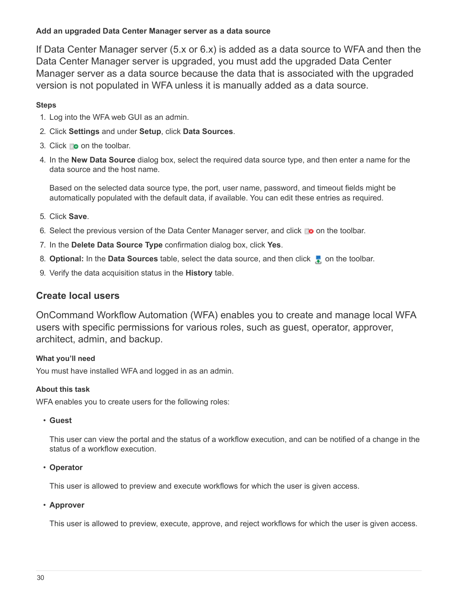# **Add an upgraded Data Center Manager server as a data source**

If Data Center Manager server (5.x or 6.x) is added as a data source to WFA and then the Data Center Manager server is upgraded, you must add the upgraded Data Center Manager server as a data source because the data that is associated with the upgraded version is not populated in WFA unless it is manually added as a data source.

# **Steps**

- 1. Log into the WFA web GUI as an admin.
- 2. Click **Settings** and under **Setup**, click **Data Sources**.
- 3. Click  $\bullet$  on the toolbar.
- 4. In the **New Data Source** dialog box, select the required data source type, and then enter a name for the data source and the host name.

Based on the selected data source type, the port, user name, password, and timeout fields might be automatically populated with the default data, if available. You can edit these entries as required.

- 5. Click **Save**.
- 6. Select the previous version of the Data Center Manager server, and click  $\bullet$  on the toolbar.
- 7. In the **Delete Data Source Type** confirmation dialog box, click **Yes**.
- 8. **Optional:** In the **Data Sources** table, select the data source, and then click **the on the toolbar.**
- 9. Verify the data acquisition status in the **History** table.

# **Create local users**

OnCommand Workflow Automation (WFA) enables you to create and manage local WFA users with specific permissions for various roles, such as guest, operator, approver, architect, admin, and backup.

# **What you'll need**

You must have installed WFA and logged in as an admin.

#### **About this task**

WFA enables you to create users for the following roles:

• **Guest**

This user can view the portal and the status of a workflow execution, and can be notified of a change in the status of a workflow execution.

#### • **Operator**

This user is allowed to preview and execute workflows for which the user is given access.

# • **Approver**

This user is allowed to preview, execute, approve, and reject workflows for which the user is given access.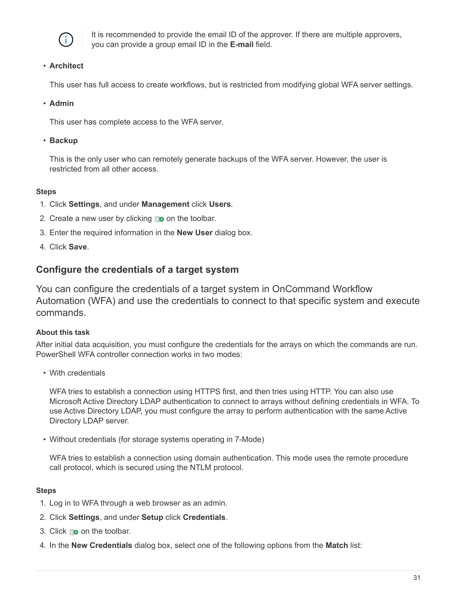

It is recommended to provide the email ID of the approver. If there are multiple approvers, you can provide a group email ID in the **E-mail** field.

### • **Architect**

This user has full access to create workflows, but is restricted from modifying global WFA server settings.

#### • **Admin**

This user has complete access to the WFA server.

#### • **Backup**

This is the only user who can remotely generate backups of the WFA server. However, the user is restricted from all other access.

#### **Steps**

- 1. Click **Settings**, and under **Management** click **Users**.
- 2. Create a new user by clicking  $\bullet$  on the toolbar.
- 3. Enter the required information in the **New User** dialog box.
- 4. Click **Save**.

# **Configure the credentials of a target system**

You can configure the credentials of a target system in OnCommand Workflow Automation (WFA) and use the credentials to connect to that specific system and execute commands.

# **About this task**

After initial data acquisition, you must configure the credentials for the arrays on which the commands are run. PowerShell WFA controller connection works in two modes:

• With credentials

WFA tries to establish a connection using HTTPS first, and then tries using HTTP. You can also use Microsoft Active Directory LDAP authentication to connect to arrays without defining credentials in WFA. To use Active Directory LDAP, you must configure the array to perform authentication with the same Active Directory LDAP server.

• Without credentials (for storage systems operating in 7-Mode)

WFA tries to establish a connection using domain authentication. This mode uses the remote procedure call protocol, which is secured using the NTLM protocol.

#### **Steps**

- 1. Log in to WFA through a web browser as an admin.
- 2. Click **Settings**, and under **Setup** click **Credentials**.
- 3. Click  $\bullet$  on the toolbar.
- 4. In the **New Credentials** dialog box, select one of the following options from the **Match** list: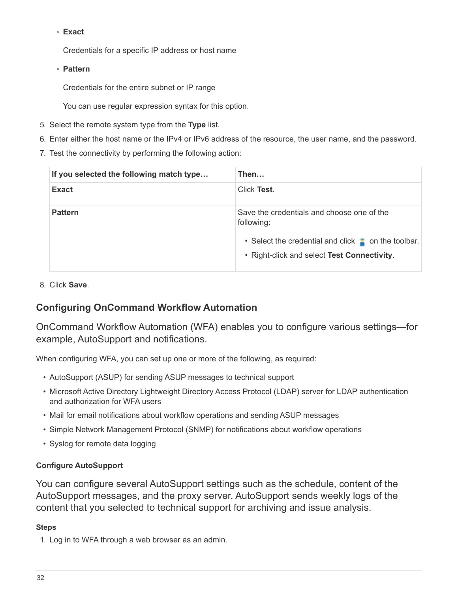# ◦ **Exact**

Credentials for a specific IP address or host name

◦ **Pattern**

Credentials for the entire subnet or IP range

You can use regular expression syntax for this option.

- 5. Select the remote system type from the **Type** list.
- 6. Enter either the host name or the IPv4 or IPv6 address of the resource, the user name, and the password.
- 7. Test the connectivity by performing the following action:

| If you selected the following match type | Then                                                                                                                                                                   |
|------------------------------------------|------------------------------------------------------------------------------------------------------------------------------------------------------------------------|
| <b>Exact</b>                             | Click Test.                                                                                                                                                            |
| <b>Pattern</b>                           | Save the credentials and choose one of the<br>following:<br>• Select the credential and click $\bullet$ on the toolbar.<br>• Right-click and select Test Connectivity. |

8. Click **Save**.

# **Configuring OnCommand Workflow Automation**

OnCommand Workflow Automation (WFA) enables you to configure various settings—for example, AutoSupport and notifications.

When configuring WFA, you can set up one or more of the following, as required:

- AutoSupport (ASUP) for sending ASUP messages to technical support
- Microsoft Active Directory Lightweight Directory Access Protocol (LDAP) server for LDAP authentication and authorization for WFA users
- Mail for email notifications about workflow operations and sending ASUP messages
- Simple Network Management Protocol (SNMP) for notifications about workflow operations
- Syslog for remote data logging

# **Configure AutoSupport**

You can configure several AutoSupport settings such as the schedule, content of the AutoSupport messages, and the proxy server. AutoSupport sends weekly logs of the content that you selected to technical support for archiving and issue analysis.

# **Steps**

1. Log in to WFA through a web browser as an admin.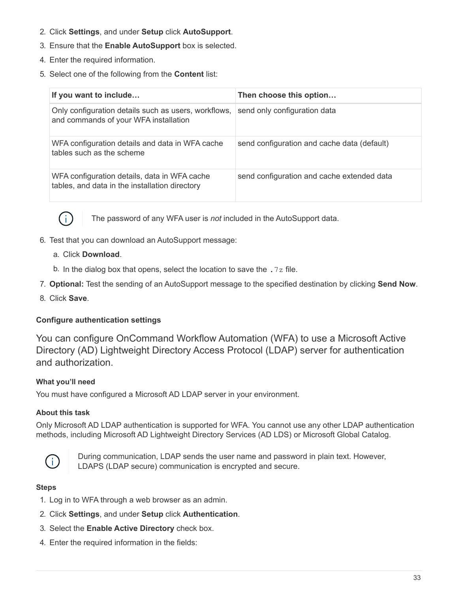- 2. Click **Settings**, and under **Setup** click **AutoSupport**.
- 3. Ensure that the **Enable AutoSupport** box is selected.
- 4. Enter the required information.
- 5. Select one of the following from the **Content** list:

| If you want to include                                                                         | Then choose this option                     |
|------------------------------------------------------------------------------------------------|---------------------------------------------|
| Only configuration details such as users, workflows,<br>and commands of your WFA installation  | send only configuration data                |
| WFA configuration details and data in WFA cache<br>tables such as the scheme                   | send configuration and cache data (default) |
| WFA configuration details, data in WFA cache<br>tables, and data in the installation directory | send configuration and cache extended data  |



The password of any WFA user is *not* included in the AutoSupport data.

- 6. Test that you can download an AutoSupport message:
	- a. Click **Download**.
	- b. In the dialog box that opens, select the location to save the  $.7z$  file.
- 7. **Optional:** Test the sending of an AutoSupport message to the specified destination by clicking **Send Now**.
- 8. Click **Save**.

# **Configure authentication settings**

You can configure OnCommand Workflow Automation (WFA) to use a Microsoft Active Directory (AD) Lightweight Directory Access Protocol (LDAP) server for authentication and authorization.

#### **What you'll need**

You must have configured a Microsoft AD LDAP server in your environment.

#### **About this task**

Only Microsoft AD LDAP authentication is supported for WFA. You cannot use any other LDAP authentication methods, including Microsoft AD Lightweight Directory Services (AD LDS) or Microsoft Global Catalog.



During communication, LDAP sends the user name and password in plain text. However, LDAPS (LDAP secure) communication is encrypted and secure.

#### **Steps**

- 1. Log in to WFA through a web browser as an admin.
- 2. Click **Settings**, and under **Setup** click **Authentication**.
- 3. Select the **Enable Active Directory** check box.
- 4. Enter the required information in the fields: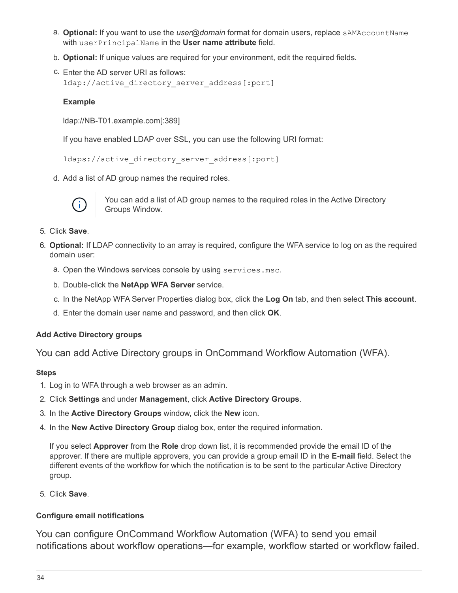- a. **Optional:** If you want to use the *user@domain* format for domain users, replace sAMAccountName with userPrincipalName in the **User name attribute** field.
- b. **Optional:** If unique values are required for your environment, edit the required fields.
- c. Enter the AD server URI as follows: ldap://active directory server address[:port]

#### **Example**

ldap://NB-T01.example.com[:389]

If you have enabled LDAP over SSL, you can use the following URI format:

```
ldaps://active directory server address[:port]
```
d. Add a list of AD group names the required roles.



You can add a list of AD group names to the required roles in the Active Directory Groups Window.

- 5. Click **Save**.
- 6. **Optional:** If LDAP connectivity to an array is required, configure the WFA service to log on as the required domain user:
	- a. Open the Windows services console by using services.msc.
	- b. Double-click the **NetApp WFA Server** service.
	- c. In the NetApp WFA Server Properties dialog box, click the **Log On** tab, and then select **This account**.
	- d. Enter the domain user name and password, and then click **OK**.

#### **Add Active Directory groups**

You can add Active Directory groups in OnCommand Workflow Automation (WFA).

#### **Steps**

- 1. Log in to WFA through a web browser as an admin.
- 2. Click **Settings** and under **Management**, click **Active Directory Groups**.
- 3. In the **Active Directory Groups** window, click the **New** icon.
- 4. In the **New Active Directory Group** dialog box, enter the required information.

If you select **Approver** from the **Role** drop down list, it is recommended provide the email ID of the approver. If there are multiple approvers, you can provide a group email ID in the **E-mail** field. Select the different events of the workflow for which the notification is to be sent to the particular Active Directory group.

5. Click **Save**.

# **Configure email notifications**

You can configure OnCommand Workflow Automation (WFA) to send you email notifications about workflow operations—for example, workflow started or workflow failed.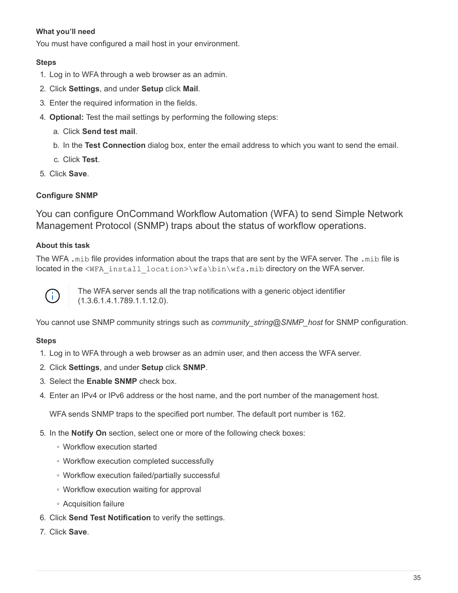# **What you'll need**

You must have configured a mail host in your environment.

### **Steps**

- 1. Log in to WFA through a web browser as an admin.
- 2. Click **Settings**, and under **Setup** click **Mail**.
- 3. Enter the required information in the fields.
- 4. **Optional:** Test the mail settings by performing the following steps:
	- a. Click **Send test mail**.
	- b. In the **Test Connection** dialog box, enter the email address to which you want to send the email.
	- c. Click **Test**.
- 5. Click **Save**.

# **Configure SNMP**

You can configure OnCommand Workflow Automation (WFA) to send Simple Network Management Protocol (SNMP) traps about the status of workflow operations.

# **About this task**

The WFA .mib file provides information about the traps that are sent by the WFA server. The .mib file is located in the <WFA\_install\_location>\wfa\bin\wfa.mib directory on the WFA server.



The WFA server sends all the trap notifications with a generic object identifier (1.3.6.1.4.1.789.1.1.12.0).

You cannot use SNMP community strings such as *community string@SNMP host* for SNMP configuration.

#### **Steps**

- 1. Log in to WFA through a web browser as an admin user, and then access the WFA server.
- 2. Click **Settings**, and under **Setup** click **SNMP**.
- 3. Select the **Enable SNMP** check box.
- 4. Enter an IPv4 or IPv6 address or the host name, and the port number of the management host.

WFA sends SNMP traps to the specified port number. The default port number is 162.

- 5. In the **Notify On** section, select one or more of the following check boxes:
	- Workflow execution started
	- Workflow execution completed successfully
	- Workflow execution failed/partially successful
	- Workflow execution waiting for approval
	- Acquisition failure
- 6. Click **Send Test Notification** to verify the settings.
- 7. Click **Save**.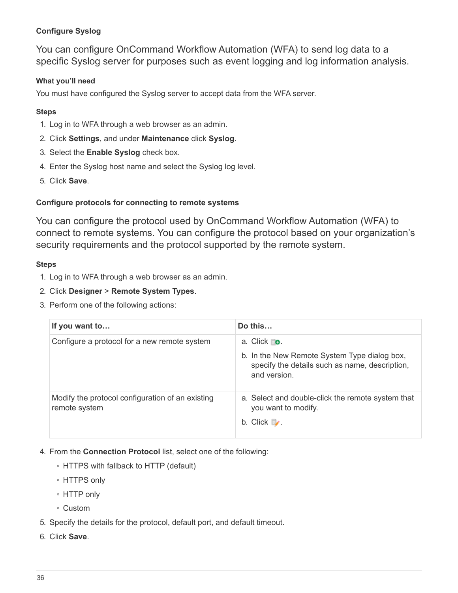# **Configure Syslog**

You can configure OnCommand Workflow Automation (WFA) to send log data to a specific Syslog server for purposes such as event logging and log information analysis.

# **What you'll need**

You must have configured the Syslog server to accept data from the WFA server.

# **Steps**

- 1. Log in to WFA through a web browser as an admin.
- 2. Click **Settings**, and under **Maintenance** click **Syslog**.
- 3. Select the **Enable Syslog** check box.
- 4. Enter the Syslog host name and select the Syslog log level.
- 5. Click **Save**.

# **Configure protocols for connecting to remote systems**

You can configure the protocol used by OnCommand Workflow Automation (WFA) to connect to remote systems. You can configure the protocol based on your organization's security requirements and the protocol supported by the remote system.

# **Steps**

- 1. Log in to WFA through a web browser as an admin.
- 2. Click **Designer** > **Remote System Types**.
- 3. Perform one of the following actions:

| If you want to                                                    | Do this                                                                                                                                |
|-------------------------------------------------------------------|----------------------------------------------------------------------------------------------------------------------------------------|
| Configure a protocol for a new remote system                      | a. Click <b>⊪o</b> .<br>b. In the New Remote System Type dialog box,<br>specify the details such as name, description,<br>and version. |
| Modify the protocol configuration of an existing<br>remote system | a. Select and double-click the remote system that<br>you want to modify.<br>b. Click $\mathcal{L}$ .                                   |

- 4. From the **Connection Protocol** list, select one of the following:
	- HTTPS with fallback to HTTP (default)
	- HTTPS only
	- HTTP only
	- Custom
- 5. Specify the details for the protocol, default port, and default timeout.
- 6. Click **Save**.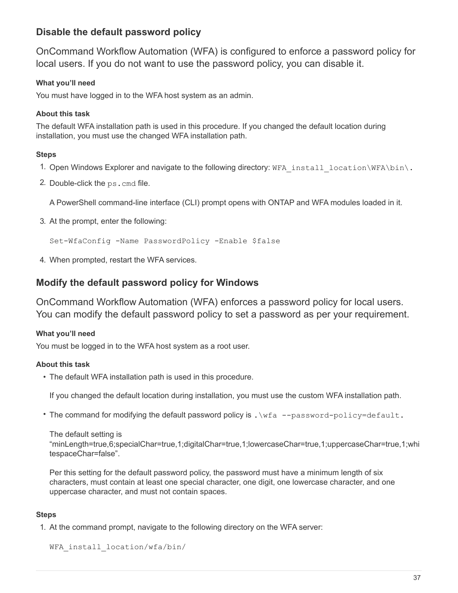# **Disable the default password policy**

OnCommand Workflow Automation (WFA) is configured to enforce a password policy for local users. If you do not want to use the password policy, you can disable it.

# **What you'll need**

You must have logged in to the WFA host system as an admin.

# **About this task**

The default WFA installation path is used in this procedure. If you changed the default location during installation, you must use the changed WFA installation path.

# **Steps**

- 1. Open Windows Explorer and navigate to the following directory: WFA install location\WFA\bin\.
- 2. Double-click the ps.cmd file.

A PowerShell command-line interface (CLI) prompt opens with ONTAP and WFA modules loaded in it.

3. At the prompt, enter the following:

Set-WfaConfig -Name PasswordPolicy -Enable \$false

4. When prompted, restart the WFA services.

# **Modify the default password policy for Windows**

OnCommand Workflow Automation (WFA) enforces a password policy for local users. You can modify the default password policy to set a password as per your requirement.

# **What you'll need**

You must be logged in to the WFA host system as a root user.

# **About this task**

• The default WFA installation path is used in this procedure.

If you changed the default location during installation, you must use the custom WFA installation path.

• The command for modifying the default password policy is . \wfa --password-policy=default.

The default setting is

"minLength=true,6;specialChar=true,1;digitalChar=true,1;lowercaseChar=true,1;uppercaseChar=true,1;whi tespaceChar=false".

Per this setting for the default password policy, the password must have a minimum length of six characters, must contain at least one special character, one digit, one lowercase character, and one uppercase character, and must not contain spaces.

# **Steps**

1. At the command prompt, navigate to the following directory on the WFA server:

```
WFA_install_location/wfa/bin/
```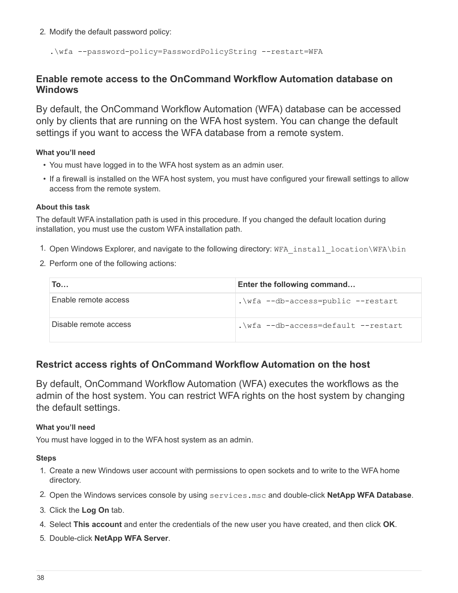2. Modify the default password policy:

.\wfa --password-policy=PasswordPolicyString --restart=WFA

# **Enable remote access to the OnCommand Workflow Automation database on Windows**

By default, the OnCommand Workflow Automation (WFA) database can be accessed only by clients that are running on the WFA host system. You can change the default settings if you want to access the WFA database from a remote system.

# **What you'll need**

- You must have logged in to the WFA host system as an admin user.
- If a firewall is installed on the WFA host system, you must have configured your firewall settings to allow access from the remote system.

#### **About this task**

The default WFA installation path is used in this procedure. If you changed the default location during installation, you must use the custom WFA installation path.

- 1. Open Windows Explorer, and navigate to the following directory: WFA install location\WFA\bin
- 2. Perform one of the following actions:

| Го…                   | Enter the following command         |
|-----------------------|-------------------------------------|
| Enable remote access  | .\wfa --db-access=public --restart  |
| Disable remote access | .\wfa --db-access=default --restart |

# **Restrict access rights of OnCommand Workflow Automation on the host**

By default, OnCommand Workflow Automation (WFA) executes the workflows as the admin of the host system. You can restrict WFA rights on the host system by changing the default settings.

# **What you'll need**

You must have logged in to the WFA host system as an admin.

#### **Steps**

- 1. Create a new Windows user account with permissions to open sockets and to write to the WFA home directory.
- 2. Open the Windows services console by using services.msc and double-click **NetApp WFA Database**.
- 3. Click the **Log On** tab.
- 4. Select **This account** and enter the credentials of the new user you have created, and then click **OK**.
- 5. Double-click **NetApp WFA Server**.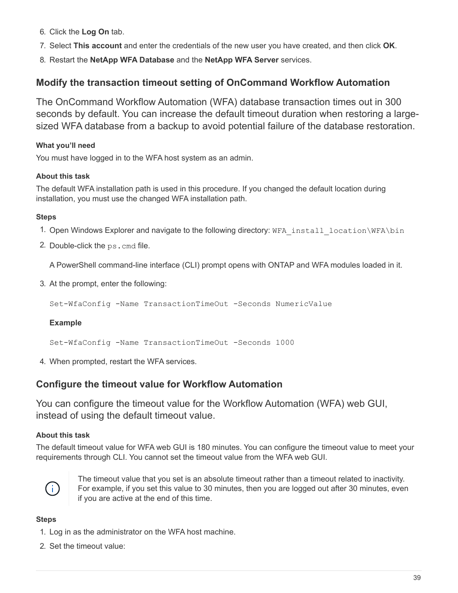- 6. Click the **Log On** tab.
- 7. Select **This account** and enter the credentials of the new user you have created, and then click **OK**.
- 8. Restart the **NetApp WFA Database** and the **NetApp WFA Server** services.

# **Modify the transaction timeout setting of OnCommand Workflow Automation**

The OnCommand Workflow Automation (WFA) database transaction times out in 300 seconds by default. You can increase the default timeout duration when restoring a largesized WFA database from a backup to avoid potential failure of the database restoration.

# **What you'll need**

You must have logged in to the WFA host system as an admin.

# **About this task**

The default WFA installation path is used in this procedure. If you changed the default location during installation, you must use the changed WFA installation path.

# **Steps**

- 1. Open Windows Explorer and navigate to the following directory: WFA\_install\_location\WFA\bin
- 2. Double-click the ps.cmd file.

A PowerShell command-line interface (CLI) prompt opens with ONTAP and WFA modules loaded in it.

3. At the prompt, enter the following:

Set-WfaConfig -Name TransactionTimeOut -Seconds NumericValue

# **Example**

Set-WfaConfig -Name TransactionTimeOut -Seconds 1000

4. When prompted, restart the WFA services.

# **Configure the timeout value for Workflow Automation**

You can configure the timeout value for the Workflow Automation (WFA) web GUI, instead of using the default timeout value.

# **About this task**

The default timeout value for WFA web GUI is 180 minutes. You can configure the timeout value to meet your requirements through CLI. You cannot set the timeout value from the WFA web GUI.



The timeout value that you set is an absolute timeout rather than a timeout related to inactivity. For example, if you set this value to 30 minutes, then you are logged out after 30 minutes, even if you are active at the end of this time.

# **Steps**

- 1. Log in as the administrator on the WFA host machine.
- 2. Set the timeout value: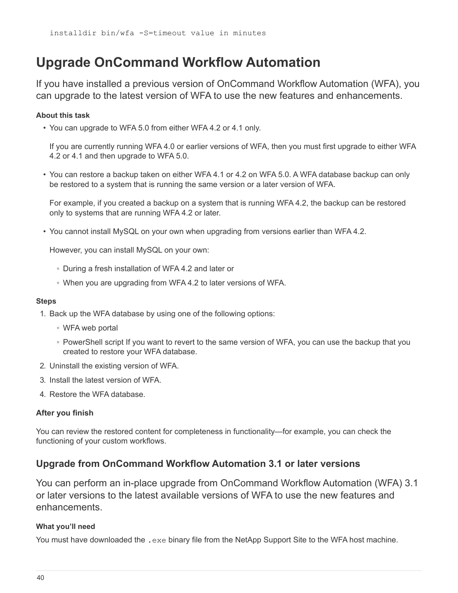# <span id="page-41-0"></span>**Upgrade OnCommand Workflow Automation**

If you have installed a previous version of OnCommand Workflow Automation (WFA), you can upgrade to the latest version of WFA to use the new features and enhancements.

### **About this task**

• You can upgrade to WFA 5.0 from either WFA 4.2 or 4.1 only.

If you are currently running WFA 4.0 or earlier versions of WFA, then you must first upgrade to either WFA 4.2 or 4.1 and then upgrade to WFA 5.0.

• You can restore a backup taken on either WFA 4.1 or 4.2 on WFA 5.0. A WFA database backup can only be restored to a system that is running the same version or a later version of WFA.

For example, if you created a backup on a system that is running WFA 4.2, the backup can be restored only to systems that are running WFA 4.2 or later.

• You cannot install MySQL on your own when upgrading from versions earlier than WFA 4.2.

However, you can install MySQL on your own:

- During a fresh installation of WFA 4.2 and later or
- When you are upgrading from WFA 4.2 to later versions of WFA.

#### **Steps**

- 1. Back up the WFA database by using one of the following options:
	- WFA web portal
	- PowerShell script If you want to revert to the same version of WFA, you can use the backup that you created to restore your WFA database.
- 2. Uninstall the existing version of WFA.
- 3. Install the latest version of WFA.
- 4. Restore the WFA database.

#### **After you finish**

You can review the restored content for completeness in functionality—for example, you can check the functioning of your custom workflows.

# **Upgrade from OnCommand Workflow Automation 3.1 or later versions**

You can perform an in-place upgrade from OnCommand Workflow Automation (WFA) 3.1 or later versions to the latest available versions of WFA to use the new features and enhancements.

#### **What you'll need**

You must have downloaded the .exe binary file from the NetApp Support Site to the WFA host machine.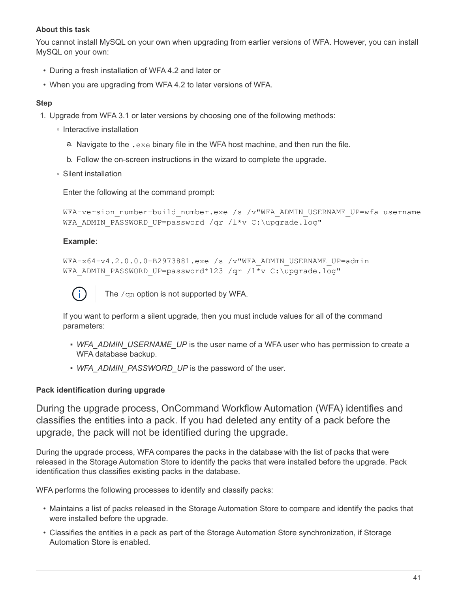### **About this task**

You cannot install MySQL on your own when upgrading from earlier versions of WFA. However, you can install MySQL on your own:

- During a fresh installation of WFA 4.2 and later or
- When you are upgrading from WFA 4.2 to later versions of WFA.

### **Step**

- 1. Upgrade from WFA 3.1 or later versions by choosing one of the following methods:
	- Interactive installation
		- a. Navigate to the .exe binary file in the WFA host machine, and then run the file.
		- b. Follow the on-screen instructions in the wizard to complete the upgrade.
	- Silent installation

Enter the following at the command prompt:

```
WFA-version number-build number.exe /s /v"WFA ADMIN USERNAME UP=wfa username
WFA ADMIN PASSWORD UP=password /qr /l*v C:\upgrade.log"
```
# **Example**:

```
WFA-x64-v4.2.0.0.0-B2973881.exe /s /v"WFA ADMIN USERNAME UP=admin
WFA ADMIN PASSWORD UP=password*123 /qr /l*v C:\upgrade.log"
```


The /qn option is not supported by WFA.

If you want to perform a silent upgrade, then you must include values for all of the command parameters:

- *WFA\_ADMIN\_USERNAME\_UP* is the user name of a WFA user who has permission to create a WFA database backup.
- WFA\_ADMIN\_PASSWORD\_UP is the password of the user.

# **Pack identification during upgrade**

During the upgrade process, OnCommand Workflow Automation (WFA) identifies and classifies the entities into a pack. If you had deleted any entity of a pack before the upgrade, the pack will not be identified during the upgrade.

During the upgrade process, WFA compares the packs in the database with the list of packs that were released in the Storage Automation Store to identify the packs that were installed before the upgrade. Pack identification thus classifies existing packs in the database.

WFA performs the following processes to identify and classify packs:

- Maintains a list of packs released in the Storage Automation Store to compare and identify the packs that were installed before the upgrade.
- Classifies the entities in a pack as part of the Storage Automation Store synchronization, if Storage Automation Store is enabled.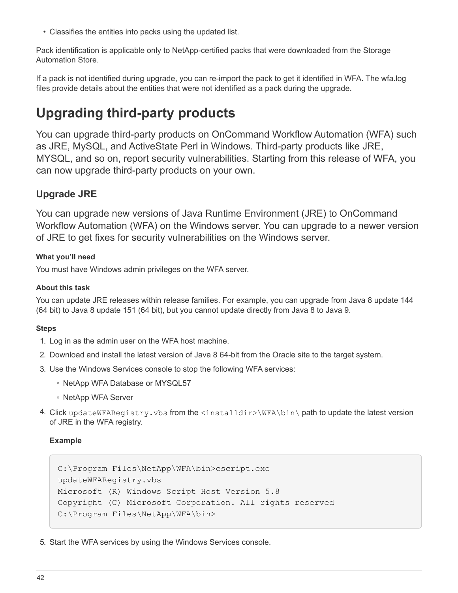• Classifies the entities into packs using the updated list.

Pack identification is applicable only to NetApp-certified packs that were downloaded from the Storage Automation Store.

If a pack is not identified during upgrade, you can re-import the pack to get it identified in WFA. The wfa.log files provide details about the entities that were not identified as a pack during the upgrade.

# <span id="page-43-0"></span>**Upgrading third-party products**

You can upgrade third-party products on OnCommand Workflow Automation (WFA) such as JRE, MySQL, and ActiveState Perl in Windows. Third-party products like JRE, MYSQL, and so on, report security vulnerabilities. Starting from this release of WFA, you can now upgrade third-party products on your own.

# **Upgrade JRE**

You can upgrade new versions of Java Runtime Environment (JRE) to OnCommand Workflow Automation (WFA) on the Windows server. You can upgrade to a newer version of JRE to get fixes for security vulnerabilities on the Windows server.

# **What you'll need**

You must have Windows admin privileges on the WFA server.

# **About this task**

You can update JRE releases within release families. For example, you can upgrade from Java 8 update 144 (64 bit) to Java 8 update 151 (64 bit), but you cannot update directly from Java 8 to Java 9.

# **Steps**

- 1. Log in as the admin user on the WFA host machine.
- 2. Download and install the latest version of Java 8 64-bit from the Oracle site to the target system.
- 3. Use the Windows Services console to stop the following WFA services:
	- NetApp WFA Database or MYSQL57
	- NetApp WFA Server
- 4. Click updateWFARegistry.vbs from the  $\langle$ installdir> $\rangle$ WFA $\langle$ bin $\rangle$  path to update the latest version of JRE in the WFA registry.

# **Example**

```
C:\Program Files\NetApp\WFA\bin>cscript.exe
updateWFARegistry.vbs
Microsoft (R) Windows Script Host Version 5.8
Copyright (C) Microsoft Corporation. All rights reserved
C:\Program Files\NetApp\WFA\bin>
```
5. Start the WFA services by using the Windows Services console.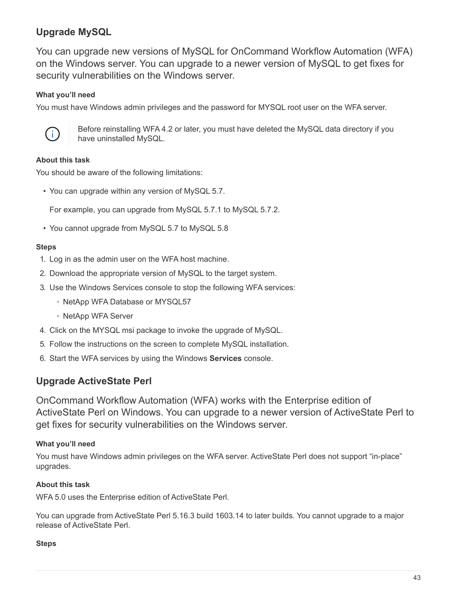# **Upgrade MySQL**

You can upgrade new versions of MySQL for OnCommand Workflow Automation (WFA) on the Windows server. You can upgrade to a newer version of MySQL to get fixes for security vulnerabilities on the Windows server.

# **What you'll need**

You must have Windows admin privileges and the password for MYSQL root user on the WFA server.



Before reinstalling WFA 4.2 or later, you must have deleted the MySQL data directory if you have uninstalled MySQL.

# **About this task**

You should be aware of the following limitations:

• You can upgrade within any version of MySQL 5.7.

For example, you can upgrade from MySQL 5.7.1 to MySQL 5.7.2.

• You cannot upgrade from MySQL 5.7 to MySQL 5.8

# **Steps**

- 1. Log in as the admin user on the WFA host machine.
- 2. Download the appropriate version of MySQL to the target system.
- 3. Use the Windows Services console to stop the following WFA services:
	- NetApp WFA Database or MYSQL57
	- NetApp WFA Server
- 4. Click on the MYSQL msi package to invoke the upgrade of MySQL.
- 5. Follow the instructions on the screen to complete MySQL installation.
- 6. Start the WFA services by using the Windows **Services** console.

# **Upgrade ActiveState Perl**

OnCommand Workflow Automation (WFA) works with the Enterprise edition of ActiveState Perl on Windows. You can upgrade to a newer version of ActiveState Perl to get fixes for security vulnerabilities on the Windows server.

# **What you'll need**

You must have Windows admin privileges on the WFA server. ActiveState Perl does not support "in-place" upgrades.

# **About this task**

WFA 5.0 uses the Enterprise edition of ActiveState Perl.

You can upgrade from ActiveState Perl 5.16.3 build 1603.14 to later builds. You cannot upgrade to a major release of ActiveState Perl.

# **Steps**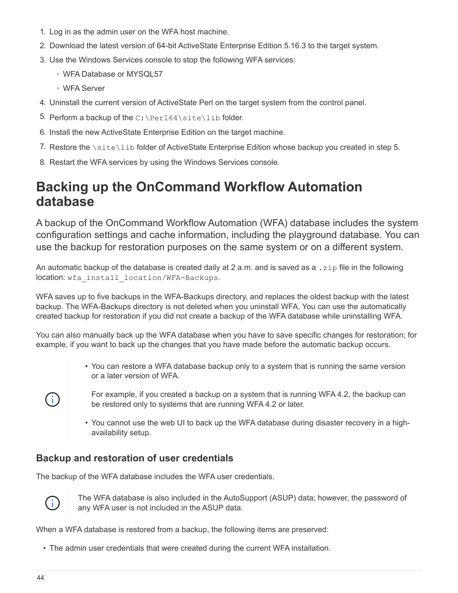- 1. Log in as the admin user on the WFA host machine.
- 2. Download the latest version of 64-bit ActiveState Enterprise Edition 5.16.3 to the target system.
- 3. Use the Windows Services console to stop the following WFA services:
	- WFA Database or MYSQL57
	- WFA Server
- 4. Uninstall the current version of ActiveState Perl on the target system from the control panel.
- 5. Perform a backup of the  $C:\Perl64\site\lib$  folder.
- 6. Install the new ActiveState Enterprise Edition on the target machine.
- 7. Restore the  $\setminus$ site $\setminus$ lib folder of ActiveState Enterprise Edition whose backup you created in step 5.
- 8. Restart the WFA services by using the Windows Services console.

# <span id="page-45-0"></span>**Backing up the OnCommand Workflow Automation database**

A backup of the OnCommand Workflow Automation (WFA) database includes the system configuration settings and cache information, including the playground database. You can use the backup for restoration purposes on the same system or on a different system.

An automatic backup of the database is created daily at 2 a.m. and is saved as a . zip file in the following location: wfa\_install\_location/WFA-Backups.

WFA saves up to five backups in the WFA-Backups directory, and replaces the oldest backup with the latest backup. The WFA-Backups directory is not deleted when you uninstall WFA. You can use the automatically created backup for restoration if you did not create a backup of the WFA database while uninstalling WFA.

You can also manually back up the WFA database when you have to save specific changes for restoration; for example, if you want to back up the changes that you have made before the automatic backup occurs.

- You can restore a WFA database backup only to a system that is running the same version or a later version of WFA.
- $\sf (i)$
- For example, if you created a backup on a system that is running WFA 4.2, the backup can be restored only to systems that are running WFA 4.2 or later.
- You cannot use the web UI to back up the WFA database during disaster recovery in a highavailability setup.

# **Backup and restoration of user credentials**

The backup of the WFA database includes the WFA user credentials.



The WFA database is also included in the AutoSupport (ASUP) data; however, the password of any WFA user is not included in the ASUP data.

When a WFA database is restored from a backup, the following items are preserved:

• The admin user credentials that were created during the current WFA installation.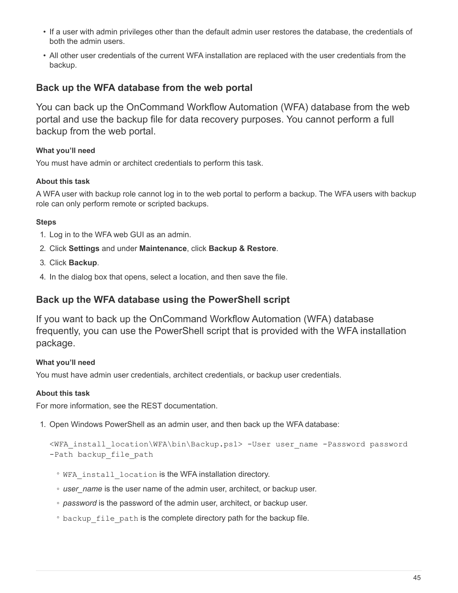- If a user with admin privileges other than the default admin user restores the database, the credentials of both the admin users.
- All other user credentials of the current WFA installation are replaced with the user credentials from the backup.

# **Back up the WFA database from the web portal**

You can back up the OnCommand Workflow Automation (WFA) database from the web portal and use the backup file for data recovery purposes. You cannot perform a full backup from the web portal.

# **What you'll need**

You must have admin or architect credentials to perform this task.

# **About this task**

A WFA user with backup role cannot log in to the web portal to perform a backup. The WFA users with backup role can only perform remote or scripted backups.

# **Steps**

- 1. Log in to the WFA web GUI as an admin.
- 2. Click **Settings** and under **Maintenance**, click **Backup & Restore**.
- 3. Click **Backup**.
- 4. In the dialog box that opens, select a location, and then save the file.

# **Back up the WFA database using the PowerShell script**

If you want to back up the OnCommand Workflow Automation (WFA) database frequently, you can use the PowerShell script that is provided with the WFA installation package.

# **What you'll need**

You must have admin user credentials, architect credentials, or backup user credentials.

# **About this task**

For more information, see the REST documentation.

1. Open Windows PowerShell as an admin user, and then back up the WFA database:

```
<WFA_install_location\WFA\bin\Backup.ps1> -User user_name -Password password
-Path backup file path
```
- WFA\_install\_location is the WFA installation directory.
- *user\_name* is the user name of the admin user, architect, or backup user.
- *password* is the password of the admin user, architect, or backup user.

 $\degree$  backup file path is the complete directory path for the backup file.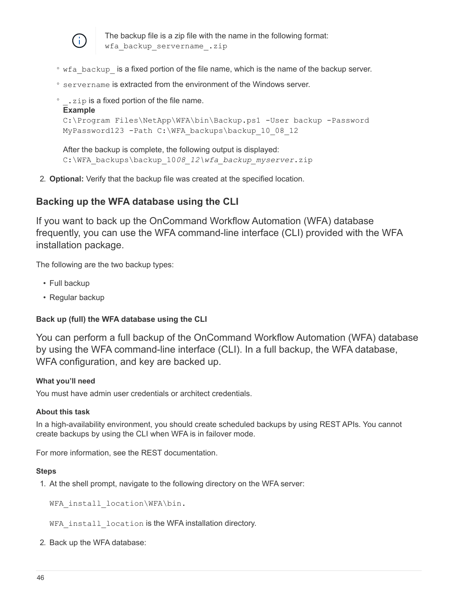

The backup file is a zip file with the name in the following format: wfa backup servername .zip

- wfa backup is a fixed portion of the file name, which is the name of the backup server.
- servername is extracted from the environment of the Windows server.

```
• . zip is a fixed portion of the file name.
 Example
 C:\Program Files\NetApp\WFA\bin\Backup.ps1 -User backup -Password
 MyPassword123 -Path C:\WFA backups\backup 10 08 12
```
After the backup is complete, the following output is displayed: C:\WFA\_backups\backup\_10*08\_12\wfa\_backup\_myserver*.zip

2. **Optional:** Verify that the backup file was created at the specified location.

# **Backing up the WFA database using the CLI**

If you want to back up the OnCommand Workflow Automation (WFA) database frequently, you can use the WFA command-line interface (CLI) provided with the WFA installation package.

The following are the two backup types:

- Full backup
- Regular backup

# **Back up (full) the WFA database using the CLI**

You can perform a full backup of the OnCommand Workflow Automation (WFA) database by using the WFA command-line interface (CLI). In a full backup, the WFA database, WFA configuration, and key are backed up.

# **What you'll need**

You must have admin user credentials or architect credentials.

# **About this task**

In a high-availability environment, you should create scheduled backups by using REST APIs. You cannot create backups by using the CLI when WFA is in failover mode.

For more information, see the REST documentation.

#### **Steps**

1. At the shell prompt, navigate to the following directory on the WFA server:

WFA install location\WFA\bin.

WFA install location is the WFA installation directory.

2. Back up the WFA database: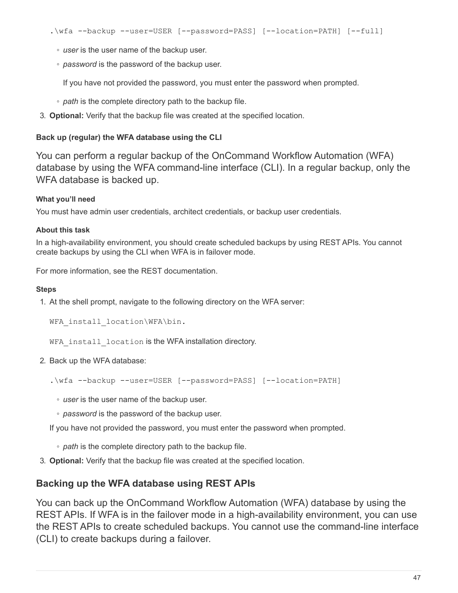- *user* is the user name of the backup user.
- *password* is the password of the backup user.

If you have not provided the password, you must enter the password when prompted.

- *path* is the complete directory path to the backup file.
- 3. **Optional:** Verify that the backup file was created at the specified location.

# **Back up (regular) the WFA database using the CLI**

You can perform a regular backup of the OnCommand Workflow Automation (WFA) database by using the WFA command-line interface (CLI). In a regular backup, only the WFA database is backed up.

# **What you'll need**

You must have admin user credentials, architect credentials, or backup user credentials.

#### **About this task**

In a high-availability environment, you should create scheduled backups by using REST APIs. You cannot create backups by using the CLI when WFA is in failover mode.

For more information, see the REST documentation.

#### **Steps**

1. At the shell prompt, navigate to the following directory on the WFA server:

WFA install location\WFA\bin.

WFA install location is the WFA installation directory.

2. Back up the WFA database:

.\wfa --backup --user=USER [--password=PASS] [--location=PATH]

- *user* is the user name of the backup user.
- *password* is the password of the backup user.

If you have not provided the password, you must enter the password when prompted.

- *path* is the complete directory path to the backup file.
- 3. **Optional:** Verify that the backup file was created at the specified location.

# **Backing up the WFA database using REST APIs**

You can back up the OnCommand Workflow Automation (WFA) database by using the REST APIs. If WFA is in the failover mode in a high-availability environment, you can use the REST APIs to create scheduled backups. You cannot use the command-line interface (CLI) to create backups during a failover.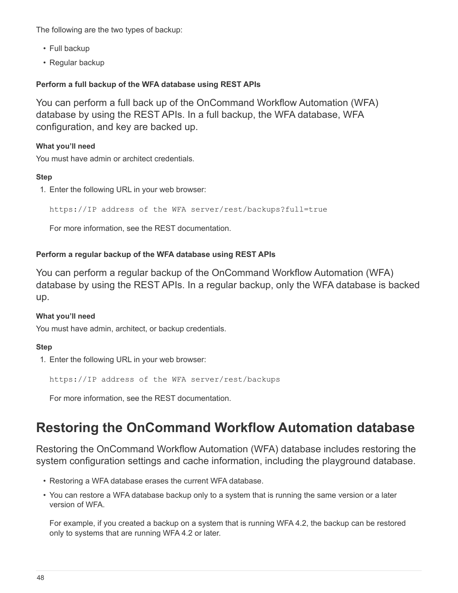The following are the two types of backup:

- Full backup
- Regular backup

# **Perform a full backup of the WFA database using REST APIs**

You can perform a full back up of the OnCommand Workflow Automation (WFA) database by using the REST APIs. In a full backup, the WFA database, WFA configuration, and key are backed up.

# **What you'll need**

You must have admin or architect credentials.

#### **Step**

1. Enter the following URL in your web browser:

https://IP address of the WFA server/rest/backups?full=true

For more information, see the REST documentation.

#### **Perform a regular backup of the WFA database using REST APIs**

You can perform a regular backup of the OnCommand Workflow Automation (WFA) database by using the REST APIs. In a regular backup, only the WFA database is backed up.

#### **What you'll need**

You must have admin, architect, or backup credentials.

# **Step**

1. Enter the following URL in your web browser:

https://IP address of the WFA server/rest/backups

For more information, see the REST documentation.

# <span id="page-49-0"></span>**Restoring the OnCommand Workflow Automation database**

Restoring the OnCommand Workflow Automation (WFA) database includes restoring the system configuration settings and cache information, including the playground database.

- Restoring a WFA database erases the current WFA database.
- You can restore a WFA database backup only to a system that is running the same version or a later version of WFA.

For example, if you created a backup on a system that is running WFA 4.2, the backup can be restored only to systems that are running WFA 4.2 or later.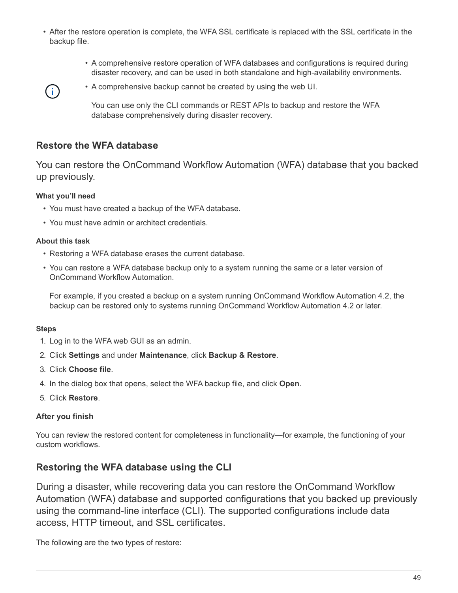- After the restore operation is complete, the WFA SSL certificate is replaced with the SSL certificate in the backup file.
	- A comprehensive restore operation of WFA databases and configurations is required during disaster recovery, and can be used in both standalone and high-availability environments.



• A comprehensive backup cannot be created by using the web UI.

You can use only the CLI commands or REST APIs to backup and restore the WFA database comprehensively during disaster recovery.

# **Restore the WFA database**

You can restore the OnCommand Workflow Automation (WFA) database that you backed up previously.

# **What you'll need**

- You must have created a backup of the WFA database.
- You must have admin or architect credentials.

# **About this task**

- Restoring a WFA database erases the current database.
- You can restore a WFA database backup only to a system running the same or a later version of OnCommand Workflow Automation.

For example, if you created a backup on a system running OnCommand Workflow Automation 4.2, the backup can be restored only to systems running OnCommand Workflow Automation 4.2 or later.

# **Steps**

- 1. Log in to the WFA web GUI as an admin.
- 2. Click **Settings** and under **Maintenance**, click **Backup & Restore**.
- 3. Click **Choose file**.
- 4. In the dialog box that opens, select the WFA backup file, and click **Open**.
- 5. Click **Restore**.

# **After you finish**

You can review the restored content for completeness in functionality—for example, the functioning of your custom workflows.

# **Restoring the WFA database using the CLI**

During a disaster, while recovering data you can restore the OnCommand Workflow Automation (WFA) database and supported configurations that you backed up previously using the command-line interface (CLI). The supported configurations include data access, HTTP timeout, and SSL certificates.

The following are the two types of restore: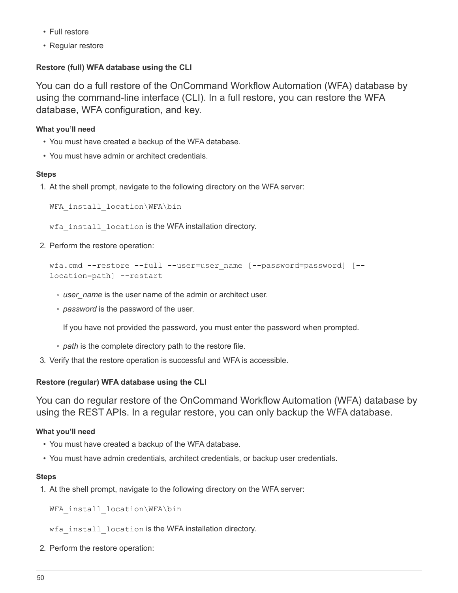- Full restore
- Regular restore

# **Restore (full) WFA database using the CLI**

You can do a full restore of the OnCommand Workflow Automation (WFA) database by using the command-line interface (CLI). In a full restore, you can restore the WFA database, WFA configuration, and key.

# **What you'll need**

- You must have created a backup of the WFA database.
- You must have admin or architect credentials.

# **Steps**

1. At the shell prompt, navigate to the following directory on the WFA server:

```
WFA install location\WFA\bin
```
wfa install location is the WFA installation directory.

2. Perform the restore operation:

```
wfa.cmd --restore --full --user=user name [--password=password] [--
location=path] --restart
```
- *user\_name* is the user name of the admin or architect user.
- *password* is the password of the user.

If you have not provided the password, you must enter the password when prompted.

- *path* is the complete directory path to the restore file.
- 3. Verify that the restore operation is successful and WFA is accessible.

# **Restore (regular) WFA database using the CLI**

You can do regular restore of the OnCommand Workflow Automation (WFA) database by using the REST APIs. In a regular restore, you can only backup the WFA database.

# **What you'll need**

- You must have created a backup of the WFA database.
- You must have admin credentials, architect credentials, or backup user credentials.

# **Steps**

1. At the shell prompt, navigate to the following directory on the WFA server:

WFA install location\WFA\bin

wfa install location is the WFA installation directory.

2. Perform the restore operation: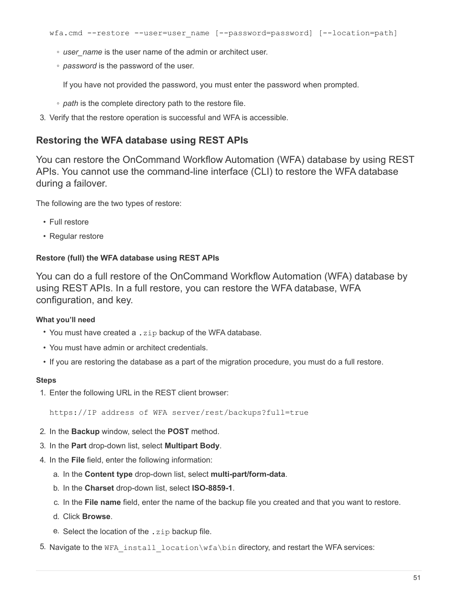- *user\_name* is the user name of the admin or architect user.
- *password* is the password of the user.

If you have not provided the password, you must enter the password when prompted.

- *path* is the complete directory path to the restore file.
- 3. Verify that the restore operation is successful and WFA is accessible.

# **Restoring the WFA database using REST APIs**

You can restore the OnCommand Workflow Automation (WFA) database by using REST APIs. You cannot use the command-line interface (CLI) to restore the WFA database during a failover.

The following are the two types of restore:

- Full restore
- Regular restore

# **Restore (full) the WFA database using REST APIs**

You can do a full restore of the OnCommand Workflow Automation (WFA) database by using REST APIs. In a full restore, you can restore the WFA database, WFA configuration, and key.

# **What you'll need**

- You must have created a .zip backup of the WFA database.
- You must have admin or architect credentials.
- If you are restoring the database as a part of the migration procedure, you must do a full restore.

#### **Steps**

1. Enter the following URL in the REST client browser:

https://IP address of WFA server/rest/backups?full=true

- 2. In the **Backup** window, select the **POST** method.
- 3. In the **Part** drop-down list, select **Multipart Body**.
- 4. In the **File** field, enter the following information:
	- a. In the **Content type** drop-down list, select **multi-part/form-data**.
	- b. In the **Charset** drop-down list, select **ISO-8859-1**.
	- c. In the **File name** field, enter the name of the backup file you created and that you want to restore.
	- d. Click **Browse**.
	- e. Select the location of the . zip backup file.
- 5. Navigate to the WFA install location\wfa\bin directory, and restart the WFA services: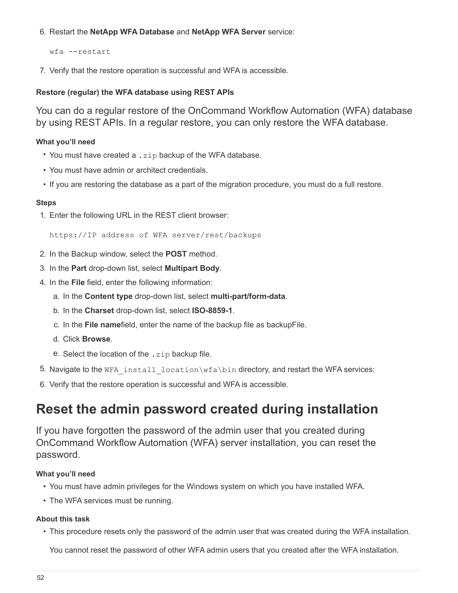# 6. Restart the **NetApp WFA Database** and **NetApp WFA Server** service:

wfa --restart

7. Verify that the restore operation is successful and WFA is accessible.

### **Restore (regular) the WFA database using REST APIs**

You can do a regular restore of the OnCommand Workflow Automation (WFA) database by using REST APIs. In a regular restore, you can only restore the WFA database.

#### **What you'll need**

- You must have created a . zip backup of the WFA database.
- You must have admin or architect credentials.
- If you are restoring the database as a part of the migration procedure, you must do a full restore.

#### **Steps**

1. Enter the following URL in the REST client browser:

https://IP address of WFA server/rest/backups

- 2. In the Backup window, select the **POST** method.
- 3. In the **Part** drop-down list, select **Multipart Body**.
- 4. In the **File** field, enter the following information:
	- a. In the **Content type** drop-down list, select **multi-part/form-data**.
	- b. In the **Charset** drop-down list, select **ISO-8859-1**.
	- c. In the **File name**field, enter the name of the backup file as backupFile.
	- d. Click **Browse**.
	- e. Select the location of the .zip backup file.
- 5. Navigate to the WFA install location\wfa\bin directory, and restart the WFA services:
- 6. Verify that the restore operation is successful and WFA is accessible.

# <span id="page-53-0"></span>**Reset the admin password created during installation**

If you have forgotten the password of the admin user that you created during OnCommand Workflow Automation (WFA) server installation, you can reset the password.

# **What you'll need**

- You must have admin privileges for the Windows system on which you have installed WFA.
- The WFA services must be running.

#### **About this task**

• This procedure resets only the password of the admin user that was created during the WFA installation.

You cannot reset the password of other WFA admin users that you created after the WFA installation.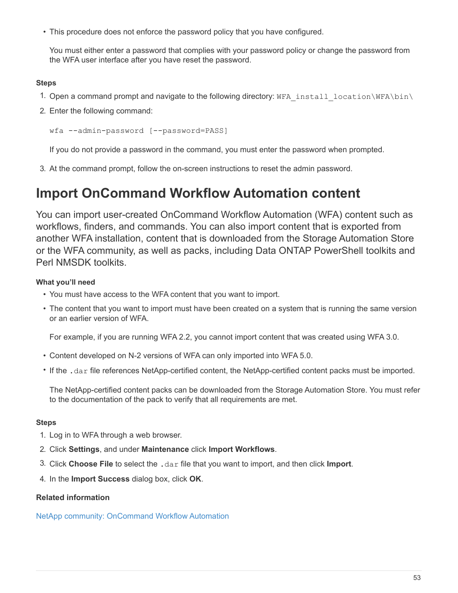• This procedure does not enforce the password policy that you have configured.

You must either enter a password that complies with your password policy or change the password from the WFA user interface after you have reset the password.

# **Steps**

- 1. Open a command prompt and navigate to the following directory: WFA\_install\_location\WFA\bin\
- 2. Enter the following command:

wfa --admin-password [--password=PASS]

If you do not provide a password in the command, you must enter the password when prompted.

3. At the command prompt, follow the on-screen instructions to reset the admin password.

# <span id="page-54-0"></span>**Import OnCommand Workflow Automation content**

You can import user-created OnCommand Workflow Automation (WFA) content such as workflows, finders, and commands. You can also import content that is exported from another WFA installation, content that is downloaded from the Storage Automation Store or the WFA community, as well as packs, including Data ONTAP PowerShell toolkits and Perl NMSDK toolkits.

# **What you'll need**

- You must have access to the WFA content that you want to import.
- The content that you want to import must have been created on a system that is running the same version or an earlier version of WFA.

For example, if you are running WFA 2.2, you cannot import content that was created using WFA 3.0.

- Content developed on N-2 versions of WFA can only imported into WFA 5.0.
- If the .dar file references NetApp-certified content, the NetApp-certified content packs must be imported.

The NetApp-certified content packs can be downloaded from the Storage Automation Store. You must refer to the documentation of the pack to verify that all requirements are met.

# **Steps**

- 1. Log in to WFA through a web browser.
- 2. Click **Settings**, and under **Maintenance** click **Import Workflows**.
- 3. Click **Choose File** to select the .dar file that you want to import, and then click **Import**.
- 4. In the **Import Success** dialog box, click **OK**.

# **Related information**

[NetApp community: OnCommand Workflow Automation](http://community.netapp.com/t5/OnCommand-Storage-Management-Software-Articles-and-Resources/tkb-p/oncommand-storage-management-software-articles-and-resources/label-name/workflow%20automation%20%28wfa%29?labels=workflow+automation+%28wfa%29)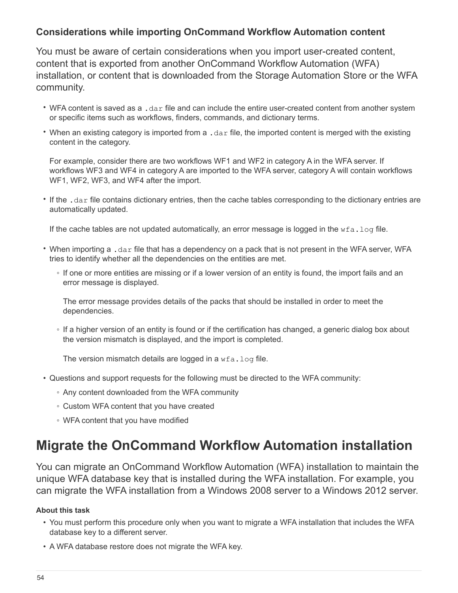# **Considerations while importing OnCommand Workflow Automation content**

You must be aware of certain considerations when you import user-created content, content that is exported from another OnCommand Workflow Automation (WFA) installation, or content that is downloaded from the Storage Automation Store or the WFA community.

- WFA content is saved as a .dar file and can include the entire user-created content from another system or specific items such as workflows, finders, commands, and dictionary terms.
- When an existing category is imported from a .dar file, the imported content is merged with the existing content in the category.

For example, consider there are two workflows WF1 and WF2 in category A in the WFA server. If workflows WF3 and WF4 in category A are imported to the WFA server, category A will contain workflows WF1, WF2, WF3, and WF4 after the import.

• If the .dar file contains dictionary entries, then the cache tables corresponding to the dictionary entries are automatically updated.

If the cache tables are not updated automatically, an error message is logged in the  $wfa.log file.$ 

- When importing a .dar file that has a dependency on a pack that is not present in the WFA server, WFA tries to identify whether all the dependencies on the entities are met.
	- If one or more entities are missing or if a lower version of an entity is found, the import fails and an error message is displayed.

The error message provides details of the packs that should be installed in order to meet the dependencies.

◦ If a higher version of an entity is found or if the certification has changed, a generic dialog box about the version mismatch is displayed, and the import is completed.

The version mismatch details are logged in a  $wfa.log file.$ 

- Questions and support requests for the following must be directed to the WFA community:
	- Any content downloaded from the WFA community
	- Custom WFA content that you have created
	- WFA content that you have modified

# <span id="page-55-0"></span>**Migrate the OnCommand Workflow Automation installation**

You can migrate an OnCommand Workflow Automation (WFA) installation to maintain the unique WFA database key that is installed during the WFA installation. For example, you can migrate the WFA installation from a Windows 2008 server to a Windows 2012 server.

# **About this task**

- You must perform this procedure only when you want to migrate a WFA installation that includes the WFA database key to a different server.
- A WFA database restore does not migrate the WFA key.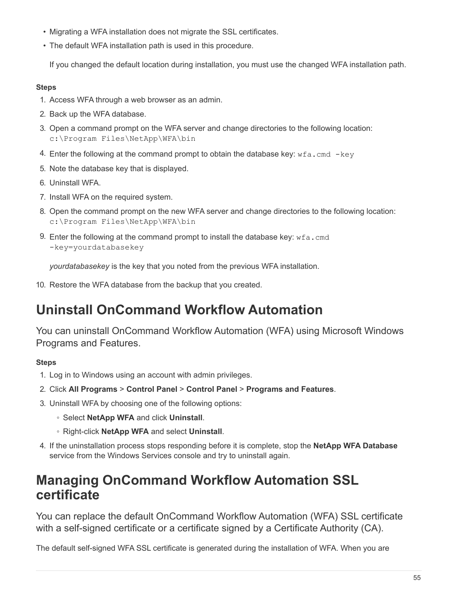- Migrating a WFA installation does not migrate the SSL certificates.
- The default WFA installation path is used in this procedure.

If you changed the default location during installation, you must use the changed WFA installation path.

# **Steps**

- 1. Access WFA through a web browser as an admin.
- 2. Back up the WFA database.
- 3. Open a command prompt on the WFA server and change directories to the following location: c:\Program Files\NetApp\WFA\bin
- 4. Enter the following at the command prompt to obtain the database key:  $wfa$ . cmd  $-key$
- 5. Note the database key that is displayed.
- 6. Uninstall WFA.
- 7. Install WFA on the required system.
- 8. Open the command prompt on the new WFA server and change directories to the following location: c:\Program Files\NetApp\WFA\bin
- 9. Enter the following at the command prompt to install the database key:  $wfa$ . cmd -key=yourdatabasekey

*yourdatabasekey* is the key that you noted from the previous WFA installation.

10. Restore the WFA database from the backup that you created.

# <span id="page-56-0"></span>**Uninstall OnCommand Workflow Automation**

You can uninstall OnCommand Workflow Automation (WFA) using Microsoft Windows Programs and Features.

# **Steps**

- 1. Log in to Windows using an account with admin privileges.
- 2. Click **All Programs** > **Control Panel** > **Control Panel** > **Programs and Features**.
- 3. Uninstall WFA by choosing one of the following options:
	- Select **NetApp WFA** and click **Uninstall**.
	- Right-click **NetApp WFA** and select **Uninstall**.
- 4. If the uninstallation process stops responding before it is complete, stop the **NetApp WFA Database** service from the Windows Services console and try to uninstall again.

# <span id="page-56-1"></span>**Managing OnCommand Workflow Automation SSL certificate**

You can replace the default OnCommand Workflow Automation (WFA) SSL certificate with a self-signed certificate or a certificate signed by a Certificate Authority (CA).

The default self-signed WFA SSL certificate is generated during the installation of WFA. When you are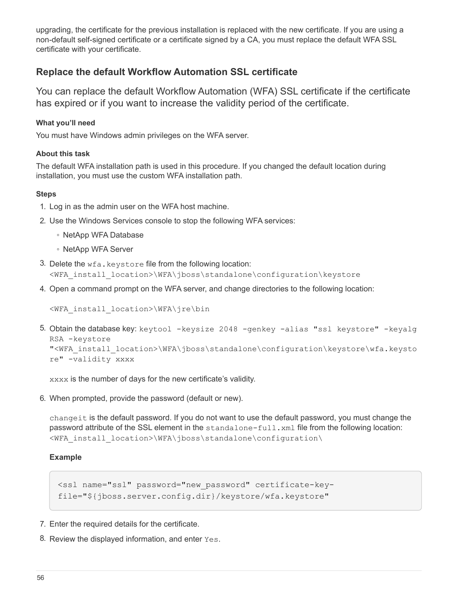upgrading, the certificate for the previous installation is replaced with the new certificate. If you are using a non-default self-signed certificate or a certificate signed by a CA, you must replace the default WFA SSL certificate with your certificate.

# **Replace the default Workflow Automation SSL certificate**

You can replace the default Workflow Automation (WFA) SSL certificate if the certificate has expired or if you want to increase the validity period of the certificate.

### **What you'll need**

You must have Windows admin privileges on the WFA server.

#### **About this task**

The default WFA installation path is used in this procedure. If you changed the default location during installation, you must use the custom WFA installation path.

#### **Steps**

- 1. Log in as the admin user on the WFA host machine.
- 2. Use the Windows Services console to stop the following WFA services:
	- NetApp WFA Database
	- NetApp WFA Server
- 3. Delete the  $wfa$ . keystore file from the following location: <WFA\_install\_location>\WFA\jboss\standalone\configuration\keystore
- 4. Open a command prompt on the WFA server, and change directories to the following location:

<WFA\_install\_location>\WFA\jre\bin

5. Obtain the database key: keytool -keysize 2048 -genkey -alias "ssl keystore" -keyalg RSA -keystore "<WFA\_install\_location>\WFA\jboss\standalone\configuration\keystore\wfa.keysto re" -validity xxxx

xxxx is the number of days for the new certificate's validity.

6. When prompted, provide the password (default or new).

changeit is the default password. If you do not want to use the default password, you must change the password attribute of the SSL element in the standalone-full.xml file from the following location: <WFA\_install\_location>\WFA\jboss\standalone\configuration\

#### **Example**

```
<ssl name="ssl" password="new_password" certificate-key-
file="${jboss.server.config.dir}/keystore/wfa.keystore"
```
- 7. Enter the required details for the certificate.
- 8. Review the displayed information, and enter Yes.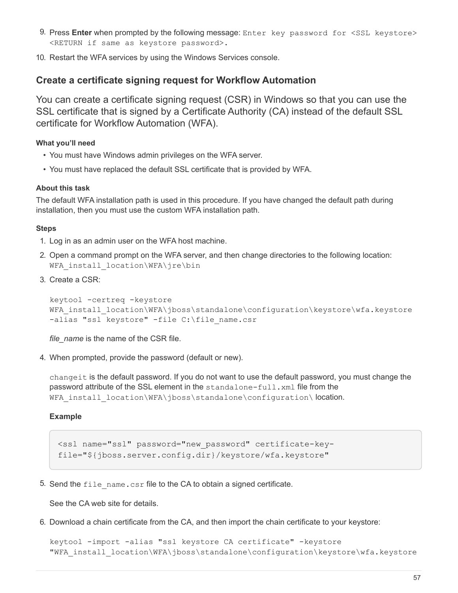- 9. Press Enter when prompted by the following message: Enter key password for <SSL keystore> <RETURN if same as keystore password>.
- 10. Restart the WFA services by using the Windows Services console.

# **Create a certificate signing request for Workflow Automation**

You can create a certificate signing request (CSR) in Windows so that you can use the SSL certificate that is signed by a Certificate Authority (CA) instead of the default SSL certificate for Workflow Automation (WFA).

### **What you'll need**

- You must have Windows admin privileges on the WFA server.
- You must have replaced the default SSL certificate that is provided by WFA.

#### **About this task**

The default WFA installation path is used in this procedure. If you have changed the default path during installation, then you must use the custom WFA installation path.

#### **Steps**

- 1. Log in as an admin user on the WFA host machine.
- 2. Open a command prompt on the WFA server, and then change directories to the following location: WFA install location\WFA\jre\bin
- 3. Create a CSR:

```
keytool -certreq -keystore
WFA_install_location\WFA\jboss\standalone\configuration\keystore\wfa.keystore
-alias "ssl keystore" -file C:\file_name.csr
```
*file\_name* is the name of the CSR file.

4. When prompted, provide the password (default or new).

changeit is the default password. If you do not want to use the default password, you must change the password attribute of the SSL element in the standalone-full. xml file from the WFA install location\WFA\jboss\standalone\configuration\ location.

#### **Example**

<ssl name="ssl" password="new\_password" certificate-keyfile="\${jboss.server.config.dir}/keystore/wfa.keystore"

5. Send the  $file$  name.csr file to the CA to obtain a signed certificate.

See the CA web site for details.

6. Download a chain certificate from the CA, and then import the chain certificate to your keystore:

```
keytool -import -alias "ssl keystore CA certificate" -keystore
"WFA_install_location\WFA\jboss\standalone\configuration\keystore\wfa.keystore
```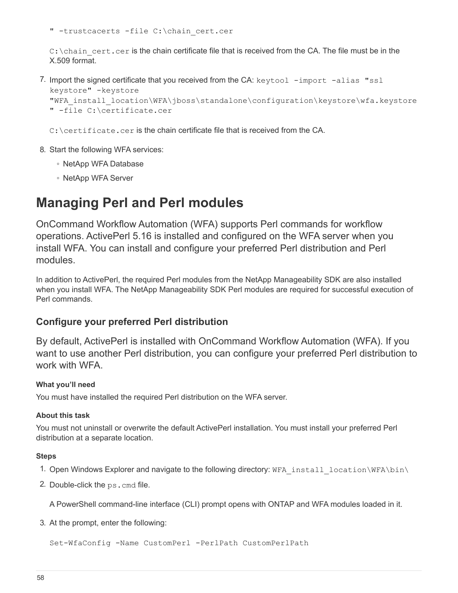" -trustcacerts -file C:\chain\_cert.cer

 $C:\Lambda$  chain cert.cer is the chain certificate file that is received from the CA. The file must be in the X.509 format.

7. Import the signed certificate that you received from the  $CA$ :  $k$ eytool  $-i$ mport  $-ali$ as "ssl

```
keystore" -keystore
"WFA_install_location\WFA\jboss\standalone\configuration\keystore\wfa.keystore
" -file C:\certificate.cer
```
C: \certificate.cer is the chain certificate file that is received from the CA.

- 8. Start the following WFA services:
	- NetApp WFA Database
	- NetApp WFA Server

# <span id="page-59-0"></span>**Managing Perl and Perl modules**

OnCommand Workflow Automation (WFA) supports Perl commands for workflow operations. ActivePerl 5.16 is installed and configured on the WFA server when you install WFA. You can install and configure your preferred Perl distribution and Perl modules.

In addition to ActivePerl, the required Perl modules from the NetApp Manageability SDK are also installed when you install WFA. The NetApp Manageability SDK Perl modules are required for successful execution of Perl commands.

# **Configure your preferred Perl distribution**

By default, ActivePerl is installed with OnCommand Workflow Automation (WFA). If you want to use another Perl distribution, you can configure your preferred Perl distribution to work with WFA.

# **What you'll need**

You must have installed the required Perl distribution on the WFA server.

# **About this task**

You must not uninstall or overwrite the default ActivePerl installation. You must install your preferred Perl distribution at a separate location.

# **Steps**

- 1. Open Windows Explorer and navigate to the following directory: WFA\_install\_location\WFA\bin\
- 2. Double-click the ps.cmd file.

A PowerShell command-line interface (CLI) prompt opens with ONTAP and WFA modules loaded in it.

3. At the prompt, enter the following:

Set-WfaConfig -Name CustomPerl -PerlPath CustomPerlPath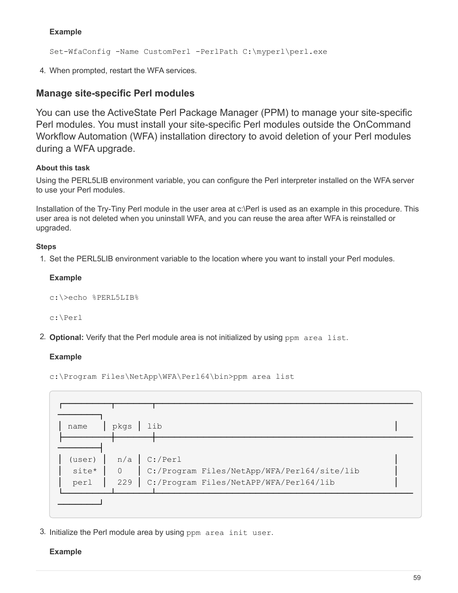# **Example**

Set-WfaConfig -Name CustomPerl -PerlPath C:\myperl\perl.exe

4. When prompted, restart the WFA services.

# **Manage site-specific Perl modules**

You can use the ActiveState Perl Package Manager (PPM) to manage your site-specific Perl modules. You must install your site-specific Perl modules outside the OnCommand Workflow Automation (WFA) installation directory to avoid deletion of your Perl modules during a WFA upgrade.

# **About this task**

Using the PERL5LIB environment variable, you can configure the Perl interpreter installed on the WFA server to use your Perl modules.

Installation of the Try-Tiny Perl module in the user area at c:\Perl is used as an example in this procedure. This user area is not deleted when you uninstall WFA, and you can reuse the area after WFA is reinstalled or upgraded.

# **Steps**

1. Set the PERL5LIB environment variable to the location where you want to install your Perl modules.

#### **Example**

```
c:\>echo %PERL5LIB%
```
c:\Perl

2. **Optional:** Verify that the Perl module area is not initialized by using ppm area list.

# **Example**

c:\Program Files\NetApp\WFA\Perl64\bin>ppm area list

| name  | pkgs           | $ $ lib                                      |  |
|-------|----------------|----------------------------------------------|--|
|       |                |                                              |  |
|       |                | (user) $n/a$ C:/Perl                         |  |
| site* | $\overline{0}$ | C:/Program Files/NetApp/WFA/Perl64/site/lib  |  |
| perl  |                | 229   C:/Program Files/NetAPP/WFA/Per164/lib |  |

3. Initialize the Perl module area by using ppm area init user.

# **Example**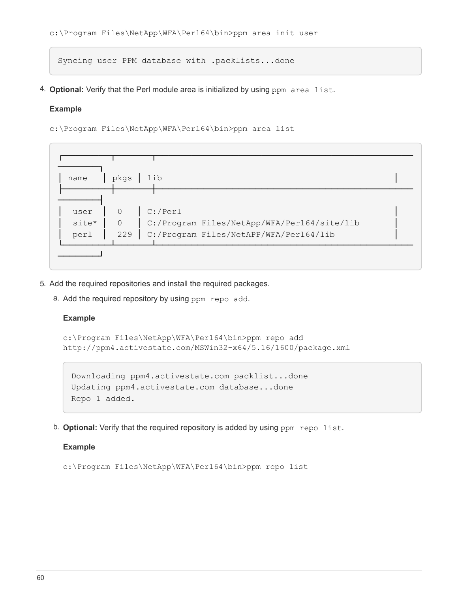```
c:\Program Files\NetApp\WFA\Perl64\bin>ppm area init user
```
Syncing user PPM database with .packlists...done

4. **Optional:** Verify that the Perl module area is initialized by using ppm area list.

#### **Example**

c:\Program Files\NetApp\WFA\Perl64\bin>ppm area list

| name  | lib<br>pkgs                                     |  |
|-------|-------------------------------------------------|--|
|       |                                                 |  |
| user  | $C$ :/Perl<br>$\overline{0}$                    |  |
| site* | 0   C:/Program Files/NetApp/WFA/Per164/site/lib |  |
| perl  | C:/Program Files/NetAPP/WFA/Per164/lib<br>229   |  |

- 5. Add the required repositories and install the required packages.
	- a. Add the required repository by using ppm repo add.

#### **Example**

```
c:\Program Files\NetApp\WFA\Perl64\bin>ppm repo add
http://ppm4.activestate.com/MSWin32-x64/5.16/1600/package.xml
```

```
Downloading ppm4.activestate.com packlist...done
Updating ppm4.activestate.com database...done
Repo 1 added.
```
b. **Optional:** Verify that the required repository is added by using ppm repo list.

# **Example**

```
c:\Program Files\NetApp\WFA\Perl64\bin>ppm repo list
```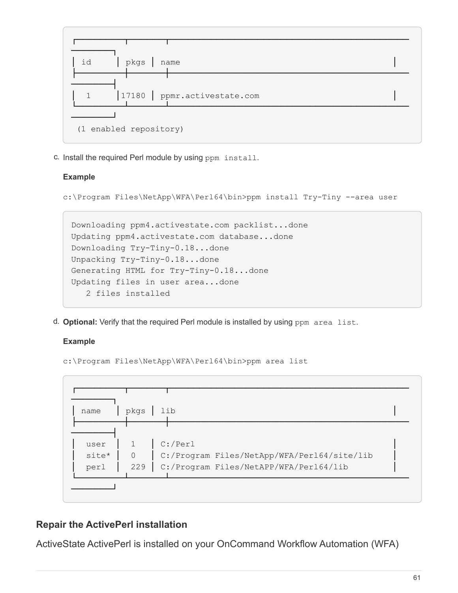

c. Install the required Perl module by using ppm install.

# **Example**

c:\Program Files\NetApp\WFA\Perl64\bin>ppm install Try-Tiny --area user

```
Downloading ppm4.activestate.com packlist...done
Updating ppm4.activestate.com database...done
Downloading Try-Tiny-0.18...done
Unpacking Try-Tiny-0.18...done
Generating HTML for Try-Tiny-0.18...done
Updating files in user area...done
     2 files installed
```
d. **Optional:** Verify that the required Perl module is installed by using ppm area list.

# **Example**

```
c:\Program Files\NetApp\WFA\Perl64\bin>ppm area list
```


# **Repair the ActivePerl installation**

ActiveState ActivePerl is installed on your OnCommand Workflow Automation (WFA)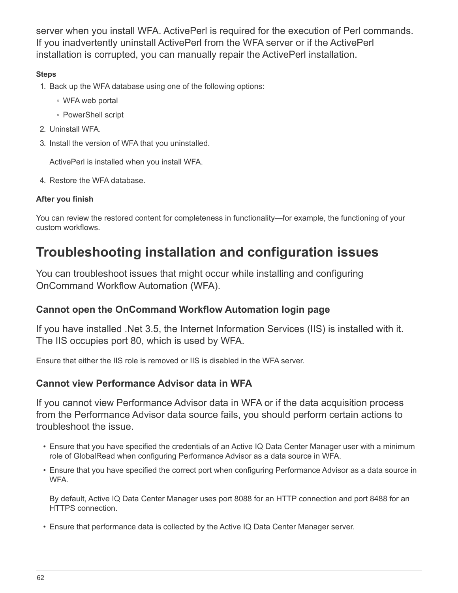server when you install WFA. ActivePerl is required for the execution of Perl commands. If you inadvertently uninstall ActivePerl from the WFA server or if the ActivePerl installation is corrupted, you can manually repair the ActivePerl installation.

# **Steps**

- 1. Back up the WFA database using one of the following options:
	- WFA web portal
	- PowerShell script
- 2. Uninstall WFA.
- 3. Install the version of WFA that you uninstalled.

ActivePerl is installed when you install WFA.

4. Restore the WFA database.

# **After you finish**

You can review the restored content for completeness in functionality—for example, the functioning of your custom workflows.

# <span id="page-63-0"></span>**Troubleshooting installation and configuration issues**

You can troubleshoot issues that might occur while installing and configuring OnCommand Workflow Automation (WFA).

# **Cannot open the OnCommand Workflow Automation login page**

If you have installed .Net 3.5, the Internet Information Services (IIS) is installed with it. The IIS occupies port 80, which is used by WFA.

Ensure that either the IIS role is removed or IIS is disabled in the WFA server.

# **Cannot view Performance Advisor data in WFA**

If you cannot view Performance Advisor data in WFA or if the data acquisition process from the Performance Advisor data source fails, you should perform certain actions to troubleshoot the issue.

- Ensure that you have specified the credentials of an Active IQ Data Center Manager user with a minimum role of GlobalRead when configuring Performance Advisor as a data source in WFA.
- Ensure that you have specified the correct port when configuring Performance Advisor as a data source in WFA.

By default, Active IQ Data Center Manager uses port 8088 for an HTTP connection and port 8488 for an HTTPS connection.

• Ensure that performance data is collected by the Active IQ Data Center Manager server.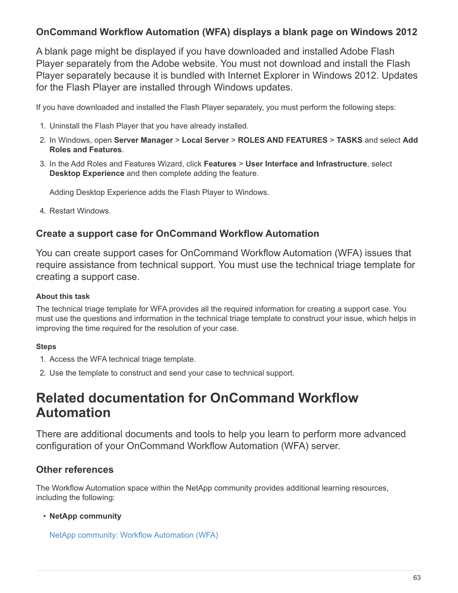# **OnCommand Workflow Automation (WFA) displays a blank page on Windows 2012**

A blank page might be displayed if you have downloaded and installed Adobe Flash Player separately from the Adobe website. You must not download and install the Flash Player separately because it is bundled with Internet Explorer in Windows 2012. Updates for the Flash Player are installed through Windows updates.

If you have downloaded and installed the Flash Player separately, you must perform the following steps:

- 1. Uninstall the Flash Player that you have already installed.
- 2. In Windows, open **Server Manager** > **Local Server** > **ROLES AND FEATURES** > **TASKS** and select **Add Roles and Features**.
- 3. In the Add Roles and Features Wizard, click **Features** > **User Interface and Infrastructure**, select **Desktop Experience** and then complete adding the feature.

Adding Desktop Experience adds the Flash Player to Windows.

4. Restart Windows.

# **Create a support case for OnCommand Workflow Automation**

You can create support cases for OnCommand Workflow Automation (WFA) issues that require assistance from technical support. You must use the technical triage template for creating a support case.

# **About this task**

The technical triage template for WFA provides all the required information for creating a support case. You must use the questions and information in the technical triage template to construct your issue, which helps in improving the time required for the resolution of your case.

# **Steps**

- 1. Access the WFA technical triage template.
- 2. Use the template to construct and send your case to technical support.

# <span id="page-64-0"></span>**Related documentation for OnCommand Workflow Automation**

There are additional documents and tools to help you learn to perform more advanced configuration of your OnCommand Workflow Automation (WFA) server.

# **Other references**

The Workflow Automation space within the NetApp community provides additional learning resources, including the following:

# • **NetApp community**

[NetApp community: Workflow Automation \(WFA\)](http://community.netapp.com/t5/OnCommand-Storage-Management-Software-Articles-and-Resources/tkb-p/oncommand-storage-management-software-articles-and-resources/label-name/workflow%20automation%20%28wfa%29?labels=workflow+automation+%28wfa%29)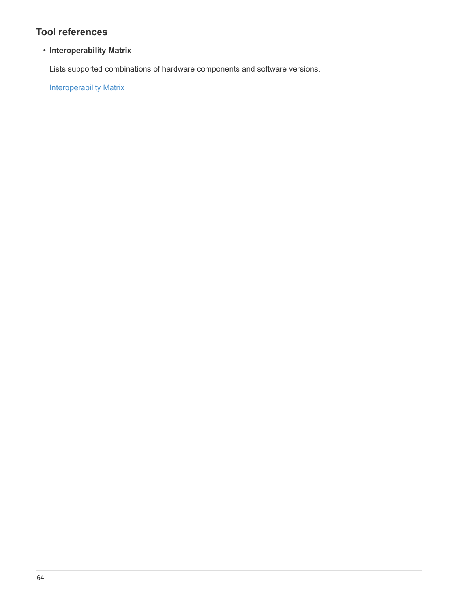# **Tool references**

# • **Interoperability Matrix**

Lists supported combinations of hardware components and software versions.

[Interoperability Matrix](http://mysupport.netapp.com/matrix/)